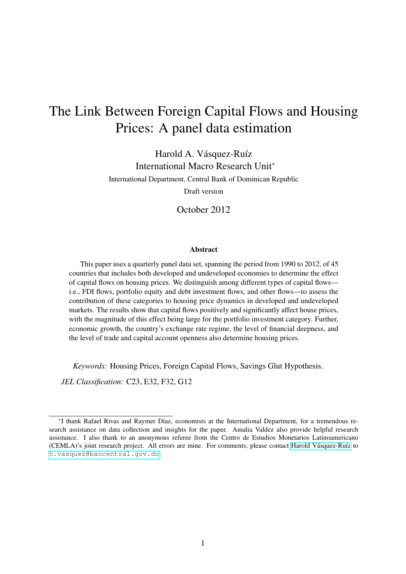# The Link Between Foreign Capital Flows and Housing Prices: A panel data estimation

Harold A. Vásquez-Ruíz International Macro Research Unit<sup>∗</sup> International Department, Central Bank of Dominican Republic Draft version

October 2012

#### **Abstract**

This paper uses a quarterly panel data set, spanning the period from 1990 to 2012, of 45 countries that includes both developed and undeveloped economies to determine the effect of capital flows on housing prices. We distinguish among different types of capital flows i.e., FDI flows, portfolio equity and debt investment flows, and other flows—to assess the contribution of these categories to housing price dynamics in developed and undeveloped markets. The results show that capital flows positively and significantly affect house prices, with the magnitude of this effect being large for the portfolio investment category. Further, economic growth, the country's exchange rate regime, the level of financial deepness, and the level of trade and capital account openness also determine housing prices.

*Keywords:* Housing Prices, Foreign Capital Flows, Savings Glut Hypothesis.

*JEL Classification:* C23, E32, F32, G12

<sup>∗</sup> I thank Rafael Rivas and Raymer Díaz, economists at the International Department, for a tremendous research assistance on data collection and insights for the paper. Amalia Valdez also provide helpful research assistance. I also thank to an anonymous referee from the Centro de Estudios Monetarios Latinoamericano (CEMLA)'s joint research project. All errors are mine. For comments, please contact [Harold Vásquez-Ruíz](http://haroldvasquez.com/) to [h.vasquez@bancentral.gov.do](mailto:h.vasquez@bancentral.gov.do)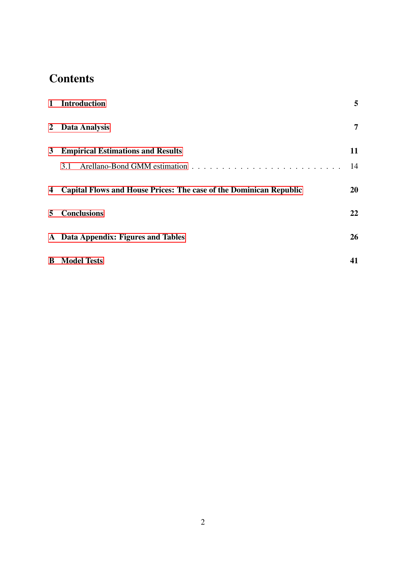# **Contents**

|             | 1 Introduction                                                            | 5              |
|-------------|---------------------------------------------------------------------------|----------------|
|             | 2 Data Analysis                                                           | $\overline{7}$ |
| $3^{\circ}$ | <b>Empirical Estimations and Results</b>                                  | 11             |
|             | 3.1                                                                       | 14             |
| 4           | <b>Capital Flows and House Prices: The case of the Dominican Republic</b> | <b>20</b>      |
| 5           | <b>Conclusions</b>                                                        | 22             |
|             | A Data Appendix: Figures and Tables                                       | 26             |
|             | <b>B</b> Model Tests                                                      | 41             |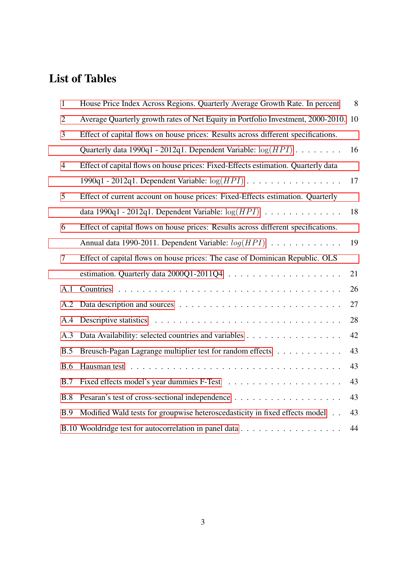# List of Tables

| $\mathbf{1}$   | House Price Index Across Regions. Quarterly Average Growth Rate. In percent       | 8  |
|----------------|-----------------------------------------------------------------------------------|----|
| $\overline{2}$ | Average Quarterly growth rates of Net Equity in Portfolio Investment, 2000-2010.  | 10 |
| 3              | Effect of capital flows on house prices: Results across different specifications. |    |
|                | Quarterly data 1990q1 - 2012q1. Dependent Variable: $log(HPI)$                    | 16 |
| $\overline{4}$ | Effect of capital flows on house prices: Fixed-Effects estimation. Quarterly data |    |
|                | 1990q1 - 2012q1. Dependent Variable: $log(HPI)$                                   | 17 |
| 5              | Effect of current account on house prices: Fixed-Effects estimation. Quarterly    |    |
|                | data 1990q1 - 2012q1. Dependent Variable: $log(HPI)$                              | 18 |
| 6              | Effect of capital flows on house prices: Results across different specifications. |    |
|                | Annual data 1990-2011. Dependent Variable: $log(HPI)$                             | 19 |
| 7              | Effect of capital flows on house prices: The case of Dominican Republic. OLS      |    |
|                |                                                                                   | 21 |
| A.1            |                                                                                   | 26 |
| A.2            |                                                                                   | 27 |
| A.4            |                                                                                   | 28 |
| A.3            | Data Availability: selected countries and variables                               | 42 |
| B.5            | Breusch-Pagan Lagrange multiplier test for random effects                         | 43 |
| <b>B.6</b>     |                                                                                   | 43 |
| B.7            |                                                                                   | 43 |
| B.8            |                                                                                   | 43 |
| B.9            | Modified Wald tests for groupwise heteroscedasticity in fixed effects model       | 43 |
|                |                                                                                   | 44 |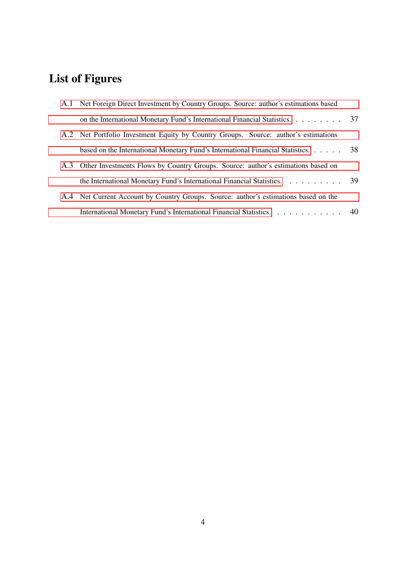# List of Figures

| A.1 Net Foreign Direct Investment by Country Groups. Source: author's estimations based |  |
|-----------------------------------------------------------------------------------------|--|
| on the International Monetary Fund's International Financial Statistics. 37             |  |
| A.2 Net Portfolio Investment Equity by Country Groups. Source: author's estimations     |  |
| based on the International Monetary Fund's International Financial Statistics. 38       |  |
| A.3 Other Investments Flows by Country Groups. Source: author's estimations based on    |  |
| the International Monetary Fund's International Financial Statistics. 39                |  |
| A.4 Net Current Account by Country Groups. Source: author's estimations based on the    |  |
| International Monetary Fund's International Financial Statistics. 40                    |  |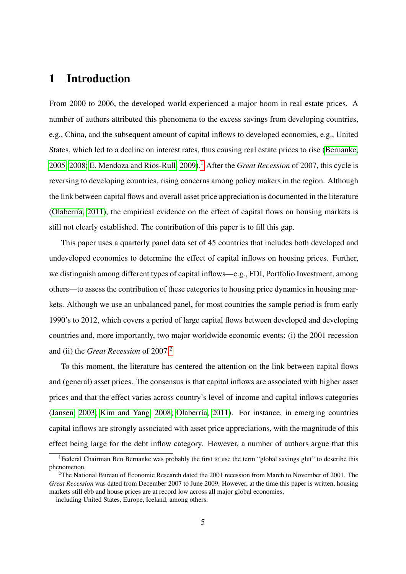## <span id="page-4-0"></span>1 Introduction

From 2000 to 2006, the developed world experienced a major boom in real estate prices. A number of authors attributed this phenomena to the excess savings from developing countries, e.g., China, and the subsequent amount of capital inflows to developed economies, e.g., United States, which led to a decline on interest rates, thus causing real estate prices to rise [\(Bernanke,](#page-23-0) [2005,](#page-23-0) [2008;](#page-23-1) [E. Mendoza and Rios-Rull, 2009\)](#page-23-2).[1](#page-4-1) After the *Great Recession* of 2007, this cycle is reversing to developing countries, rising concerns among policy makers in the region. Although the link between capital flows and overall asset price appreciation is documented in the literature [\(Olaberría, 2011\)](#page-24-0), the empirical evidence on the effect of capital flows on housing markets is still not clearly established. The contribution of this paper is to fill this gap.

This paper uses a quarterly panel data set of 45 countries that includes both developed and undeveloped economies to determine the effect of capital inflows on housing prices. Further, we distinguish among different types of capital inflows—e.g., FDI, Portfolio Investment, among others—to assess the contribution of these categories to housing price dynamics in housing markets. Although we use an unbalanced panel, for most countries the sample period is from early 1990's to 2012, which covers a period of large capital flows between developed and developing countries and, more importantly, two major worldwide economic events: (i) the 2001 recession and (ii) the *Great Recession* of 2007.[2](#page-4-2)

To this moment, the literature has centered the attention on the link between capital flows and (general) asset prices. The consensus is that capital inflows are associated with higher asset prices and that the effect varies across country's level of income and capital inflows categories [\(Jansen, 2003;](#page-24-1) [Kim and Yang, 2008;](#page-24-2) [Olaberría, 2011\)](#page-24-0). For instance, in emerging countries capital inflows are strongly associated with asset price appreciations, with the magnitude of this effect being large for the debt inflow category. However, a number of authors argue that this

<span id="page-4-1"></span><sup>&</sup>lt;sup>1</sup>Federal Chairman Ben Bernanke was probably the first to use the term "global savings glut" to describe this phenomenon.

<span id="page-4-2"></span><sup>2</sup>The National Bureau of Economic Research dated the 2001 recession from March to November of 2001. The *Great Recession* was dated from December 2007 to June 2009. However, at the time this paper is written, housing markets still ebb and house prices are at record low across all major global economies,

including United States, Europe, Iceland, among others.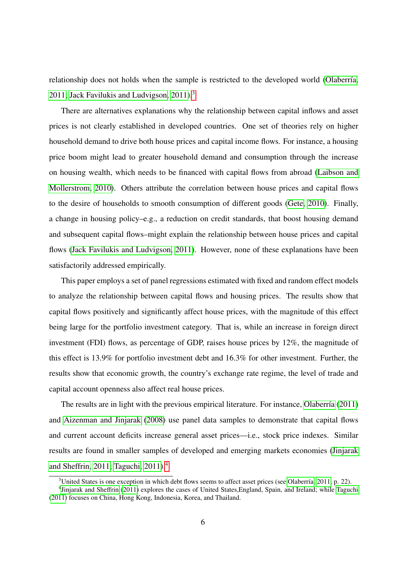relationship does not holds when the sample is restricted to the developed world [\(Olaberría,](#page-24-0) [2011;](#page-24-0) Jack Favilukis and Ludvigson,  $2011$ .<sup>[3](#page-5-0)</sup>

There are alternatives explanations why the relationship between capital inflows and asset prices is not clearly established in developed countries. One set of theories rely on higher household demand to drive both house prices and capital income flows. For instance, a housing price boom might lead to greater household demand and consumption through the increase on housing wealth, which needs to be financed with capital flows from abroad [\(Laibson and](#page-24-4) [Mollerstrom, 2010\)](#page-24-4). Others attribute the correlation between house prices and capital flows to the desire of households to smooth consumption of different goods [\(Gete, 2010\)](#page-23-3). Finally, a change in housing policy–e.g., a reduction on credit standards, that boost housing demand and subsequent capital flows–might explain the relationship between house prices and capital flows [\(Jack Favilukis and Ludvigson, 2011\)](#page-24-3). However, none of these explanations have been satisfactorily addressed empirically.

This paper employs a set of panel regressions estimated with fixed and random effect models to analyze the relationship between capital flows and housing prices. The results show that capital flows positively and significantly affect house prices, with the magnitude of this effect being large for the portfolio investment category. That is, while an increase in foreign direct investment (FDI) flows, as percentage of GDP, raises house prices by 12%, the magnitude of this effect is 13.9% for portfolio investment debt and 16.3% for other investment. Further, the results show that economic growth, the country's exchange rate regime, the level of trade and capital account openness also affect real house prices.

The results are in light with the previous empirical literature. For instance, [Olaberría](#page-24-0) [\(2011\)](#page-24-0) and [Aizenman and Jinjarak](#page-23-4) [\(2008\)](#page-23-4) use panel data samples to demonstrate that capital flows and current account deficits increase general asset prices—i.e., stock price indexes. Similar results are found in smaller samples of developed and emerging markets economies [\(Jinjarak](#page-24-5) [and Sheffrin, 2011;](#page-24-5) [Taguchi, 2011\)](#page-24-6).[4](#page-5-1)

<span id="page-5-1"></span><span id="page-5-0"></span><sup>&</sup>lt;sup>3</sup>United States is one exception in which debt flows seems to affect asset prices (see [Olaberría, 2011,](#page-24-0) p. 22).

<sup>&</sup>lt;sup>4</sup> [Jinjarak and Sheffrin](#page-24-5) [\(2011\)](#page-24-5) explores the cases of United States, England, Spain, and Ireland; while [Taguchi](#page-24-6) [\(2011\)](#page-24-6) focuses on China, Hong Kong, Indonesia, Korea, and Thailand.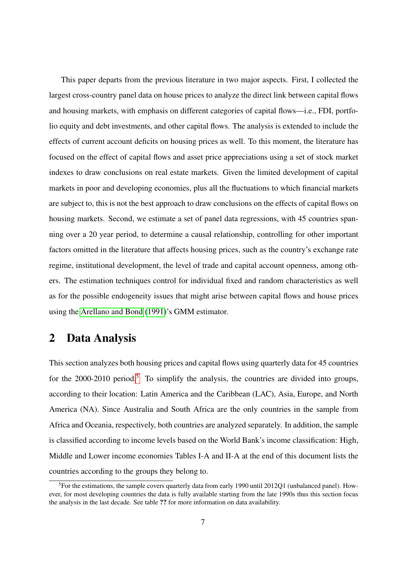This paper departs from the previous literature in two major aspects. First, I collected the largest cross-country panel data on house prices to analyze the direct link between capital flows and housing markets, with emphasis on different categories of capital flows—i.e., FDI, portfolio equity and debt investments, and other capital flows. The analysis is extended to include the effects of current account deficits on housing prices as well. To this moment, the literature has focused on the effect of capital flows and asset price appreciations using a set of stock market indexes to draw conclusions on real estate markets. Given the limited development of capital markets in poor and developing economies, plus all the fluctuations to which financial markets are subject to, this is not the best approach to draw conclusions on the effects of capital flows on housing markets. Second, we estimate a set of panel data regressions, with 45 countries spanning over a 20 year period, to determine a causal relationship, controlling for other important factors omitted in the literature that affects housing prices, such as the country's exchange rate regime, institutional development, the level of trade and capital account openness, among others. The estimation techniques control for individual fixed and random characteristics as well as for the possible endogeneity issues that might arise between capital flows and house prices using the [Arellano and Bond](#page-23-5) [\(1991\)](#page-23-5)'s GMM estimator.

## <span id="page-6-0"></span>2 Data Analysis

This section analyzes both housing prices and capital flows using quarterly data for 45 countries for the  $2000-2010$  period.<sup>[5](#page-6-1)</sup> To simplify the analysis, the countries are divided into groups, according to their location: Latin America and the Caribbean (LAC), Asia, Europe, and North America (NA). Since Australia and South Africa are the only countries in the sample from Africa and Oceania, respectively, both countries are analyzed separately. In addition, the sample is classified according to income levels based on the World Bank's income classification: High, Middle and Lower income economies Tables I-A and II-A at the end of this document lists the countries according to the groups they belong to.

<span id="page-6-1"></span><sup>&</sup>lt;sup>5</sup>For the estimations, the sample covers quarterly data from early 1990 until 2012Q1 (unbalanced panel). However, for most developing countries the data is fully available starting from the late 1990s thus this section focus the analysis in the last decade. See table ?? for more information on data availability.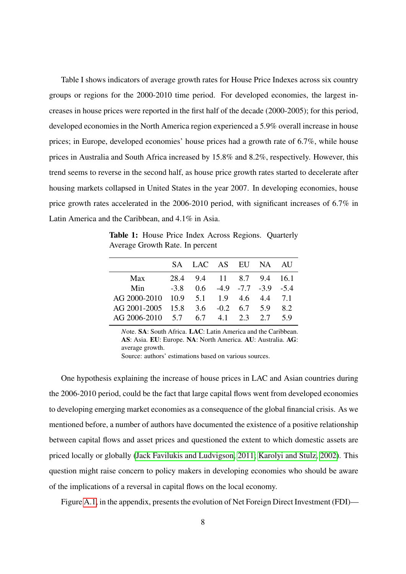Table I shows indicators of average growth rates for House Price Indexes across six country groups or regions for the 2000-2010 time period. For developed economies, the largest increases in house prices were reported in the first half of the decade (2000-2005); for this period, developed economies in the North America region experienced a 5.9% overall increase in house prices; in Europe, developed economies' house prices had a growth rate of 6.7%, while house prices in Australia and South Africa increased by 15.8% and 8.2%, respectively. However, this trend seems to reverse in the second half, as house price growth rates started to decelerate after housing markets collapsed in United States in the year 2007. In developing economies, house price growth rates accelerated in the 2006-2010 period, with significant increases of 6.7% in Latin America and the Caribbean, and 4.1% in Asia.

<span id="page-7-0"></span>Table 1: House Price Index Across Regions. Quarterly Average Growth Rate. In percent

|                                       | SA LAC AS EU NA AU                     |  |     |
|---------------------------------------|----------------------------------------|--|-----|
| Max                                   | 28.4 9.4 11 8.7 9.4 16.1               |  |     |
| Min                                   | $-3.8$ 0.6 $-4.9$ $-7.7$ $-3.9$ $-5.4$ |  |     |
| AG 2000-2010 10.9 5.1 1.9 4.6 4.4 7.1 |                                        |  |     |
| AG 2001-2005 15.8 3.6 -0.2 6.7 5.9    |                                        |  | 8.2 |
| AG 2006-2010 $5.7$ 6.7 $4.1$ 2.3 2.7  |                                        |  | 59  |

*N*ote. SA: South Africa. LAC: Latin America and the Caribbean. AS: Asia. EU: Europe. NA: North America. AU: Australia. AG: average growth.

Source: authors' estimations based on various sources.

One hypothesis explaining the increase of house prices in LAC and Asian countries during the 2006-2010 period, could be the fact that large capital flows went from developed economies to developing emerging market economies as a consequence of the global financial crisis. As we mentioned before, a number of authors have documented the existence of a positive relationship between capital flows and asset prices and questioned the extent to which domestic assets are priced locally or globally [\(Jack Favilukis and Ludvigson, 2011;](#page-24-3) [Karolyi and Stulz, 2002\)](#page-24-7). This question might raise concern to policy makers in developing economies who should be aware of the implications of a reversal in capital flows on the local economy.

Figure [A.1,](#page-36-0) in the appendix, presents the evolution of Net Foreign Direct Investment (FDI)—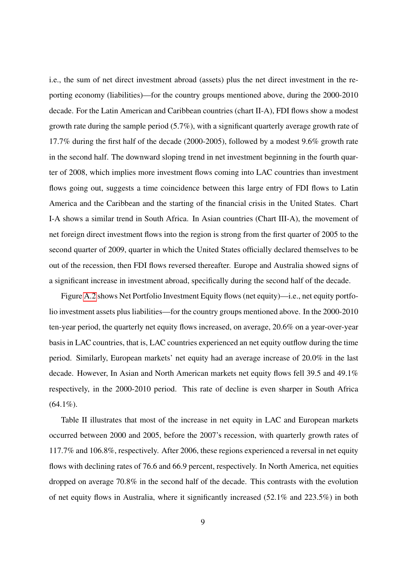i.e., the sum of net direct investment abroad (assets) plus the net direct investment in the reporting economy (liabilities)—for the country groups mentioned above, during the 2000-2010 decade. For the Latin American and Caribbean countries (chart II-A), FDI flows show a modest growth rate during the sample period (5.7%), with a significant quarterly average growth rate of 17.7% during the first half of the decade (2000-2005), followed by a modest 9.6% growth rate in the second half. The downward sloping trend in net investment beginning in the fourth quarter of 2008, which implies more investment flows coming into LAC countries than investment flows going out, suggests a time coincidence between this large entry of FDI flows to Latin America and the Caribbean and the starting of the financial crisis in the United States. Chart I-A shows a similar trend in South Africa. In Asian countries (Chart III-A), the movement of net foreign direct investment flows into the region is strong from the first quarter of 2005 to the second quarter of 2009, quarter in which the United States officially declared themselves to be out of the recession, then FDI flows reversed thereafter. Europe and Australia showed signs of a significant increase in investment abroad, specifically during the second half of the decade.

Figure [A.2](#page-37-0) shows Net Portfolio Investment Equity flows (net equity)—i.e., net equity portfolio investment assets plus liabilities—for the country groups mentioned above. In the 2000-2010 ten-year period, the quarterly net equity flows increased, on average, 20.6% on a year-over-year basis in LAC countries, that is, LAC countries experienced an net equity outflow during the time period. Similarly, European markets' net equity had an average increase of 20.0% in the last decade. However, In Asian and North American markets net equity flows fell 39.5 and 49.1% respectively, in the 2000-2010 period. This rate of decline is even sharper in South Africa  $(64.1\%)$ .

Table II illustrates that most of the increase in net equity in LAC and European markets occurred between 2000 and 2005, before the 2007's recession, with quarterly growth rates of 117.7% and 106.8%, respectively. After 2006, these regions experienced a reversal in net equity flows with declining rates of 76.6 and 66.9 percent, respectively. In North America, net equities dropped on average 70.8% in the second half of the decade. This contrasts with the evolution of net equity flows in Australia, where it significantly increased (52.1% and 223.5%) in both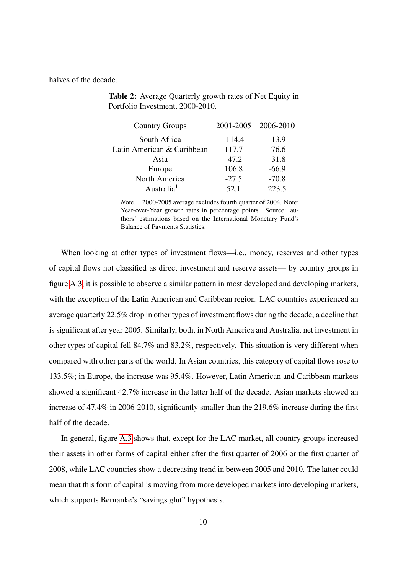<span id="page-9-0"></span>halves of the decade.

| <b>Country Groups</b>      |          | 2001-2005 2006-2010 |
|----------------------------|----------|---------------------|
| South Africa               | $-114.4$ | $-13.9$             |
| Latin American & Caribbean | 117.7    | $-76.6$             |
| Asia                       | $-47.2$  | $-31.8$             |
| Europe                     | 106.8    | $-66.9$             |
| North America              | $-27.5$  | $-70.8$             |
| Australia <sup>1</sup>     | 52.1     | 223.5               |

Table 2: Average Quarterly growth rates of Net Equity in Portfolio Investment, 2000-2010.

*N*ote. <sup>1</sup> 2000-2005 average excludes fourth quarter of 2004. Note: Year-over-Year growth rates in percentage points. Source: authors' estimations based on the International Monetary Fund's Balance of Payments Statistics.

When looking at other types of investment flows—i.e., money, reserves and other types of capital flows not classified as direct investment and reserve assets— by country groups in figure [A.3,](#page-38-0) it is possible to observe a similar pattern in most developed and developing markets, with the exception of the Latin American and Caribbean region. LAC countries experienced an average quarterly 22.5% drop in other types of investment flows during the decade, a decline that is significant after year 2005. Similarly, both, in North America and Australia, net investment in other types of capital fell 84.7% and 83.2%, respectively. This situation is very different when compared with other parts of the world. In Asian countries, this category of capital flows rose to 133.5%; in Europe, the increase was 95.4%. However, Latin American and Caribbean markets showed a significant 42.7% increase in the latter half of the decade. Asian markets showed an increase of 47.4% in 2006-2010, significantly smaller than the 219.6% increase during the first half of the decade.

In general, figure [A.3](#page-38-0) shows that, except for the LAC market, all country groups increased their assets in other forms of capital either after the first quarter of 2006 or the first quarter of 2008, while LAC countries show a decreasing trend in between 2005 and 2010. The latter could mean that this form of capital is moving from more developed markets into developing markets, which supports Bernanke's "savings glut" hypothesis.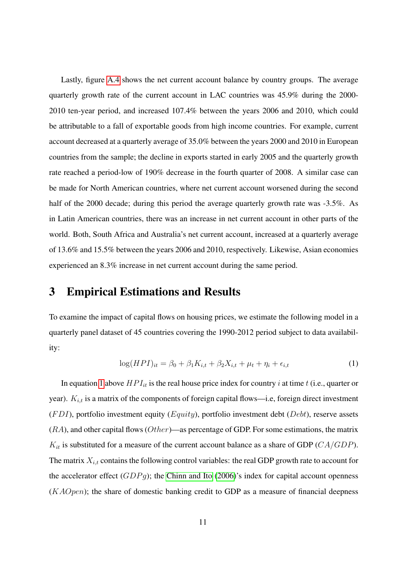Lastly, figure [A.4](#page-39-0) shows the net current account balance by country groups. The average quarterly growth rate of the current account in LAC countries was 45.9% during the 2000- 2010 ten-year period, and increased 107.4% between the years 2006 and 2010, which could be attributable to a fall of exportable goods from high income countries. For example, current account decreased at a quarterly average of 35.0% between the years 2000 and 2010 in European countries from the sample; the decline in exports started in early 2005 and the quarterly growth rate reached a period-low of 190% decrease in the fourth quarter of 2008. A similar case can be made for North American countries, where net current account worsened during the second half of the 2000 decade; during this period the average quarterly growth rate was -3.5%. As in Latin American countries, there was an increase in net current account in other parts of the world. Both, South Africa and Australia's net current account, increased at a quarterly average of 13.6% and 15.5% between the years 2006 and 2010, respectively. Likewise, Asian economies experienced an 8.3% increase in net current account during the same period.

## <span id="page-10-0"></span>3 Empirical Estimations and Results

To examine the impact of capital flows on housing prices, we estimate the following model in a quarterly panel dataset of 45 countries covering the 1990-2012 period subject to data availability:

<span id="page-10-1"></span>
$$
\log(HPI)_{it} = \beta_0 + \beta_1 K_{i,t} + \beta_2 X_{i,t} + \mu_t + \eta_i + \epsilon_{i,t}
$$
 (1)

In equation [1](#page-10-1) above  $HPI_{it}$  is the real house price index for country i at time t (i.e., quarter or year).  $K_{i,t}$  is a matrix of the components of foreign capital flows—i.e, foreign direct investment  $(FDI)$ , portfolio investment equity  $(Equity)$ , portfolio investment debt ( $Debt$ ), reserve assets  $(RA)$ , and other capital flows  $Other$ —as percentage of GDP. For some estimations, the matrix  $K_{it}$  is substituted for a measure of the current account balance as a share of GDP ( $CA/GDP$ ). The matrix  $X_{i,t}$  contains the following control variables: the real GDP growth rate to account for the accelerator effect  $(GDPq)$ ; the [Chinn and Ito](#page-23-6) [\(2006\)](#page-23-6)'s index for capital account openness  $(KAOpen)$ ; the share of domestic banking credit to GDP as a measure of financial deepness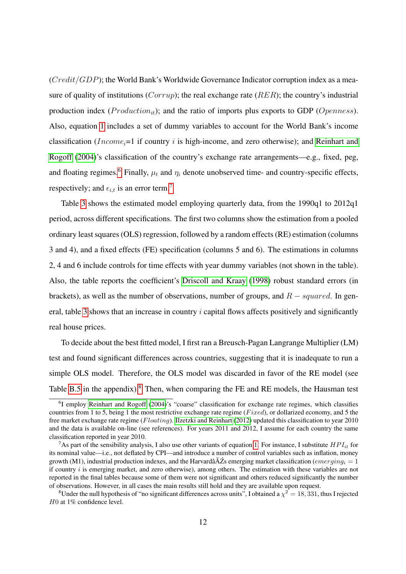$(Credit/GDP)$ ; the World Bank's Worldwide Governance Indicator corruption index as a measure of quality of institutions ( $Corrup$ ); the real exchange rate ( $RER$ ); the country's industrial production index ( $Production_{it}$ ); and the ratio of imports plus exports to GDP ( $Openness$ ). Also, equation [1](#page-10-1) includes a set of dummy variables to account for the World Bank's income classification (*Income<sub>i</sub>*=1 if country *i* is high-income, and zero otherwise); and [Reinhart and](#page-24-8) [Rogoff](#page-24-8) [\(2004\)](#page-24-8)'s classification of the country's exchange rate arrangements—e.g., fixed, peg, and floating regimes.<sup>[6](#page-11-0)</sup> Finally,  $\mu_t$  and  $\eta_i$  denote unobserved time- and country-specific effects, respectively; and  $\epsilon_{i,t}$  is an error term.<sup>[7](#page-11-1)</sup>

Table [3](#page-15-0) shows the estimated model employing quarterly data, from the 1990q1 to 2012q1 period, across different specifications. The first two columns show the estimation from a pooled ordinary least squares (OLS) regression, followed by a random effects (RE) estimation (columns 3 and 4), and a fixed effects (FE) specification (columns 5 and 6). The estimations in columns 2, 4 and 6 include controls for time effects with year dummy variables (not shown in the table). Also, the table reports the coefficient's [Driscoll and Kraay](#page-23-7) [\(1998\)](#page-23-7) robust standard errors (in brackets), as well as the number of observations, number of groups, and  $R - squared$ . In gen-eral, table [3](#page-15-0) shows that an increase in country  $i$  capital flows affects positively and significantly real house prices.

To decide about the best fitted model, I first ran a Breusch-Pagan Langrange Multiplier (LM) test and found significant differences across countries, suggesting that it is inadequate to run a simple OLS model. Therefore, the OLS model was discarded in favor of the RE model (see Table [B.5](#page-42-0) in the appendix).<sup>[8](#page-11-2)</sup> Then, when comparing the FE and RE models, the Hausman test

<span id="page-11-0"></span><sup>&</sup>lt;sup>6</sup>I employ [Reinhart and Rogoff](#page-24-8) [\(2004\)](#page-24-8)'s "coarse" classification for exchange rate regimes, which classifies countries from 1 to 5, being 1 the most restrictive exchange rate regime ( $Fixed$ ), or dollarized economy, and 5 the free market exchange rate regime (Floating). [Ilzetzki and Reinhart](#page-23-8) [\(2012\)](#page-23-8) updated this classification to year 2010 and the data is available on-line (see references). For years 2011 and 2012, I assume for each country the same classification reported in year 2010.

<span id="page-11-1"></span><sup>&</sup>lt;sup>7</sup>As part of the sensibility analysis, I also use other variants of equation [1.](#page-10-1) For instance, I substitute  $HPI_{it}$  for its nominal value—i.e., not deflated by CPI—and introduce a number of control variables such as inflation, money growth (M1), industrial production indexes, and the Harvardâ $\breve{A}Z$ s emerging market classification ( $emerging_i = 1$ if country  $i$  is emerging market, and zero otherwise), among others. The estimation with these variables are not reported in the final tables because some of them were not significant and others reduced significantly the number of observations. However, in all cases the main results still hold and they are available upon request.

<span id="page-11-2"></span> ${}^{8}$ Under the null hypothesis of "no significant differences across units", I obtained a  $\chi^2=18,331$ , thus I rejected H0 at 1% confidence level.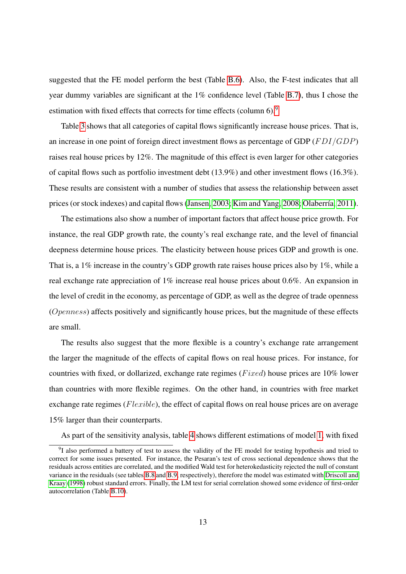suggested that the FE model perform the best (Table [B.6\)](#page-42-1). Also, the F-test indicates that all year dummy variables are significant at the 1% confidence level (Table [B.7\)](#page-42-2), thus I chose the estimation with fixed effects that corrects for time effects (column 6).<sup>[9](#page-12-0)</sup>

Table [3](#page-15-0) shows that all categories of capital flows significantly increase house prices. That is, an increase in one point of foreign direct investment flows as percentage of GDP ( $FDI/GDP$ ) raises real house prices by 12%. The magnitude of this effect is even larger for other categories of capital flows such as portfolio investment debt (13.9%) and other investment flows (16.3%). These results are consistent with a number of studies that assess the relationship between asset prices (or stock indexes) and capital flows [\(Jansen, 2003;](#page-24-1) [Kim and Yang, 2008;](#page-24-2) [Olaberría, 2011\)](#page-24-0).

The estimations also show a number of important factors that affect house price growth. For instance, the real GDP growth rate, the county's real exchange rate, and the level of financial deepness determine house prices. The elasticity between house prices GDP and growth is one. That is, a 1% increase in the country's GDP growth rate raises house prices also by 1%, while a real exchange rate appreciation of 1% increase real house prices about 0.6%. An expansion in the level of credit in the economy, as percentage of GDP, as well as the degree of trade openness (Openness) affects positively and significantly house prices, but the magnitude of these effects are small.

The results also suggest that the more flexible is a country's exchange rate arrangement the larger the magnitude of the effects of capital flows on real house prices. For instance, for countries with fixed, or dollarized, exchange rate regimes ( $Fixed$ ) house prices are 10% lower than countries with more flexible regimes. On the other hand, in countries with free market exchange rate regimes (*Flexible*), the effect of capital flows on real house prices are on average 15% larger than their counterparts.

<span id="page-12-0"></span>As part of the sensitivity analysis, table [4](#page-16-0) shows different estimations of model [1,](#page-10-1) with fixed

<sup>&</sup>lt;sup>9</sup>I also performed a battery of test to assess the validity of the FE model for testing hypothesis and tried to correct for some issues presented. For instance, the Pesaran's test of cross sectional dependence shows that the residuals across entities are correlated, and the modified Wald test for heterokedasticity rejected the null of constant variance in the residuals (see tables [B.8](#page-42-3) and [B.9,](#page-42-4) respectively), therefore the model was estimated with [Driscoll and](#page-23-7) [Kraay](#page-23-7) [\(1998\)](#page-23-7) robust standard errors. Finally, the LM test for serial correlation showed some evidence of first-order autocorrelation (Table [B.10\)](#page-43-0).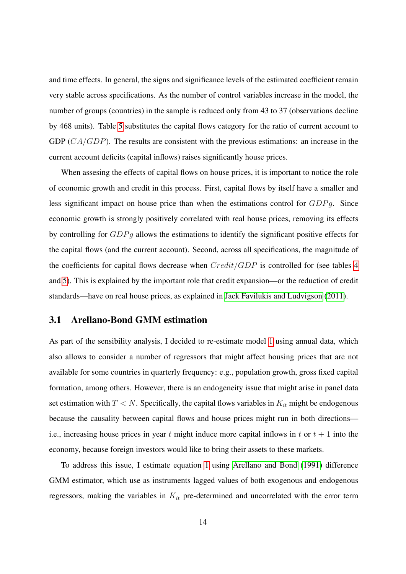and time effects. In general, the signs and significance levels of the estimated coefficient remain very stable across specifications. As the number of control variables increase in the model, the number of groups (countries) in the sample is reduced only from 43 to 37 (observations decline by 468 units). Table [5](#page-17-0) substitutes the capital flows category for the ratio of current account to GDP  $(CA/GDP)$ . The results are consistent with the previous estimations: an increase in the current account deficits (capital inflows) raises significantly house prices.

When assesing the effects of capital flows on house prices, it is important to notice the role of economic growth and credit in this process. First, capital flows by itself have a smaller and less significant impact on house price than when the estimations control for GDPg. Since economic growth is strongly positively correlated with real house prices, removing its effects by controlling for  $GDPq$  allows the estimations to identify the significant positive effects for the capital flows (and the current account). Second, across all specifications, the magnitude of the coefficients for capital flows decrease when  $Credit/GDP$  is controlled for (see tables [4](#page-16-0) and [5\)](#page-17-0). This is explained by the important role that credit expansion—or the reduction of credit standards—have on real house prices, as explained in [Jack Favilukis and Ludvigson](#page-24-3) [\(2011\)](#page-24-3).

#### <span id="page-13-0"></span>3.1 Arellano-Bond GMM estimation

As part of the sensibility analysis, I decided to re-estimate model [1](#page-10-1) using annual data, which also allows to consider a number of regressors that might affect housing prices that are not available for some countries in quarterly frequency: e.g., population growth, gross fixed capital formation, among others. However, there is an endogeneity issue that might arise in panel data set estimation with  $T < N$ . Specifically, the capital flows variables in  $K_{it}$  might be endogenous because the causality between capital flows and house prices might run in both directions i.e., increasing house prices in year t might induce more capital inflows in t or  $t + 1$  into the economy, because foreign investors would like to bring their assets to these markets.

To address this issue, I estimate equation [1](#page-10-1) using [Arellano and Bond](#page-23-5) [\(1991\)](#page-23-5) difference GMM estimator, which use as instruments lagged values of both exogenous and endogenous regressors, making the variables in  $K_{it}$  pre-determined and uncorrelated with the error term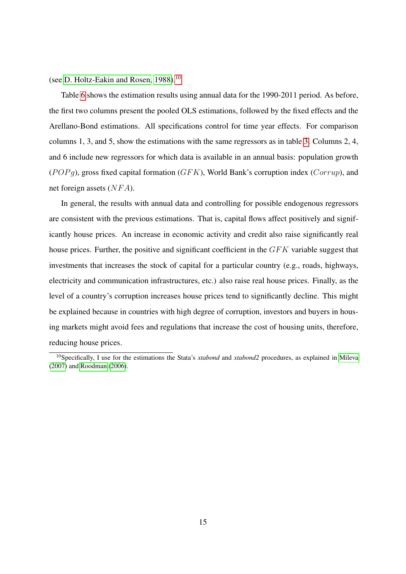(see [D. Holtz-Eakin and Rosen, 1988\)](#page-23-9).<sup>[10](#page-14-0)</sup>

Table [6](#page-18-0) shows the estimation results using annual data for the 1990-2011 period. As before, the first two columns present the pooled OLS estimations, followed by the fixed effects and the Arellano-Bond estimations. All specifications control for time year effects. For comparison columns 1, 3, and 5, show the estimations with the same regressors as in table [3.](#page-15-0) Columns 2, 4, and 6 include new regressors for which data is available in an annual basis: population growth  $(POPg)$ , gross fixed capital formation  $(GFK)$ , World Bank's corruption index  $(Corrup)$ , and net foreign assets  $(NFA)$ .

In general, the results with annual data and controlling for possible endogenous regressors are consistent with the previous estimations. That is, capital flows affect positively and significantly house prices. An increase in economic activity and credit also raise significantly real house prices. Further, the positive and significant coefficient in the GFK variable suggest that investments that increases the stock of capital for a particular country (e.g., roads, highways, electricity and communication infrastructures, etc.) also raise real house prices. Finally, as the level of a country's corruption increases house prices tend to significantly decline. This might be explained because in countries with high degree of corruption, investors and buyers in housing markets might avoid fees and regulations that increase the cost of housing units, therefore, reducing house prices.

<span id="page-14-0"></span><sup>10</sup>Specifically, I use for the estimations the Stata's *xtabond* and *xtabond2* procedures, as explained in [Mileva](#page-24-9) [\(2007\)](#page-24-9) and [Roodman](#page-24-10) [\(2006\)](#page-24-10).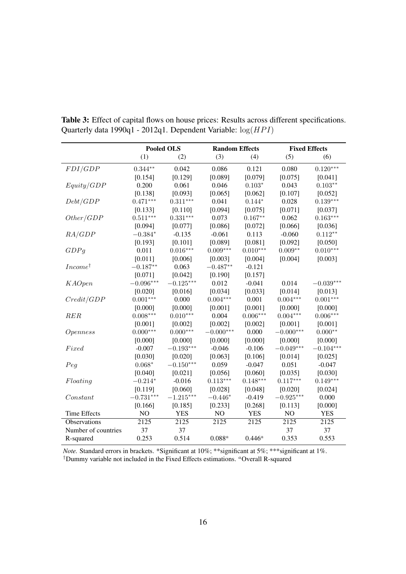|                            |                         | <b>Pooled OLS</b>      |                   | <b>Random Effects</b> |                   | <b>Fixed Effects</b> |  |
|----------------------------|-------------------------|------------------------|-------------------|-----------------------|-------------------|----------------------|--|
|                            | (1)                     | (2)                    | (3)               | (4)                   | (5)               | (6)                  |  |
| FDI/GDP                    | $0.344**$               | 0.042                  | 0.086             | 0.121                 | 0.080             | $0.120***$           |  |
|                            | [0.154]                 | [0.129]                | [0.089]           | [0.079]               | [0.075]           | [0.041]              |  |
| Equity/GDP                 | 0.200                   | 0.061                  | 0.046             | $0.103*$              | 0.043             | $0.103**$            |  |
|                            | [0.138]                 | [0.093]                | [0.065]           | [0.062]               | [0.107]           | [0.052]              |  |
| Debt/GDP                   | $0.471***$              | $0.311^{\ast\ast\ast}$ | 0.041             | $0.144*$              | 0.028             | $0.139***$           |  |
|                            | [0.133]                 | [0.110]                | [0.094]           | [0.075]               | [0.071]           | [0.037]              |  |
| Other/GDP                  | $0.511***$              | $0.331^{\ast\ast\ast}$ | 0.073             | $0.167**$             | 0.062             | $0.163***$           |  |
|                            | [0.094]                 | [0.077]                | [0.086]           | [0.072]               | [0.066]           | [0.036]              |  |
| RA/GDP                     | $-0.384*$               | $-0.135$               | $-0.061$          | 0.113                 | $-0.060$          | $0.112**$            |  |
|                            | [0.193]                 | [0.101]                | [0.089]           | [0.081]               | [0.092]           | [0.050]              |  |
| GDPg                       | 0.011                   | $0.016***$             | $0.009***$        | $0.010***$            | $0.009**$         | $0.010***$           |  |
|                            | [0.011]                 | [0.006]                | [0.003]           | [0.004]               | [0.004]           | [0.003]              |  |
| <i>Income</i> <sup>†</sup> | $-0.187**$              | 0.063                  | $-0.487**$        | $-0.121$              |                   |                      |  |
|                            | [0.071]                 | [0.042]                | [0.190]           | [0.157]               |                   |                      |  |
| <b>KAOpen</b>              | $-0.096^{\ast\ast\ast}$ | $-0.125***$            | 0.012             | $-0.041$              | 0.014             | $-0.039***$          |  |
|                            | [0.020]                 | [0.016]                | [0.034]           | [0.033]               | [0.014]           | [0.013]              |  |
| Credit/GDP                 | $0.001***$              | 0.000                  | $0.004***$        | 0.001                 | $0.004***$        | $0.001***$           |  |
|                            | [0.000]                 | [0.000]                | [0.001]           | [0.001]               | [0.000]           | [0.000]              |  |
| <b>RER</b>                 | $0.008^{***}\,$         | $0.010***$             | 0.004             | $0.006***$            | $0.004***$        | $0.006***$           |  |
|                            | [0.001]                 | [0.002]                | [0.002]           | [0.002]               | [0.001]           | [0.001]              |  |
| Openness                   | $0.000***$              | $0.000***$             | $-0.000***$       | 0.000                 | $-0.000***$       | $0.000**$            |  |
|                            | [0.000]                 | [0.000]                | [0.000]           | [0.000]               | [0.000]           | [0.000]              |  |
| Fixed                      | $-0.007$                | $-0.193***$            | $-0.046$          | $-0.106$              | $-0.049***$       | $-0.104***$          |  |
|                            | [0.030]                 | [0.020]                | [0.063]           | [0.106]               | [0.014]           | [0.025]              |  |
| Peg                        | $0.068*$                | $-0.150***$            | 0.059             | $-0.047$              | 0.051             | $-0.047$             |  |
|                            | [0.040]                 | [0.021]                | [0.056]           | [0.060]               | [0.035]           | [0.030]              |  |
| Floating                   | $-0.214*$               | $-0.016$               | $0.113***$        | $0.148***$            | $0.117***$        | $0.149***$           |  |
|                            | [0.119]                 | [0.060]                | [0.028]           | [0.048]               | [0.020]           | [0.024]              |  |
| Constant                   | $-0.731***$             | $-1.215***$            | $-0.446*$         | $-0.419$              | $-0.925***$       | 0.000                |  |
|                            | [0.166]                 | [0.185]                | [0.233]           | [0.268]               | [0.113]           | [0.000]              |  |
| <b>Time Effects</b>        | N <sub>O</sub>          | <b>YES</b>             | N <sub>O</sub>    | <b>YES</b>            | N <sub>O</sub>    | <b>YES</b>           |  |
| Observations               | $\overline{2125}$       | $\overline{2125}$      | $\overline{2125}$ | $\overline{2125}$     | $\overline{2125}$ | 2125                 |  |
| Number of countries        | 37                      | 37                     |                   |                       | 37                | 37                   |  |
| R-squared                  | 0.253                   | 0.514                  | $0.088^a$         | $0.446^a$             | 0.353             | 0.553                |  |

<span id="page-15-0"></span>Table 3: Effect of capital flows on house prices: Results across different specifications. Quarterly data 1990q1 - 2012q1. Dependent Variable:  $log(HPI)$ 

*Note.* Standard errors in brackets. \*Significant at 10%; \*\*significant at 5%; \*\*\*significant at 1%. <sup>†</sup>Dummy variable not included in the Fixed Effects estimations. <sup>a</sup>Overall R-squared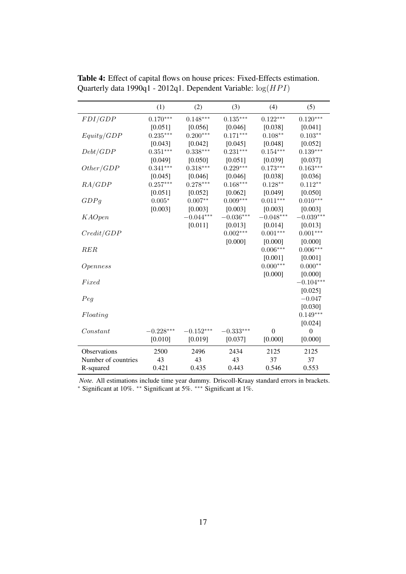|                     | (1)            | (2)         | (3)         | (4)         | (5)              |
|---------------------|----------------|-------------|-------------|-------------|------------------|
| FDI/GDP             | $0.170***$     | $0.148***$  | $0.135***$  | $0.122***$  | $0.120***$       |
|                     | [0.051]        | [0.056]     | [0.046]     | [0.038]     | [0.041]          |
| Equity/GDP          | $0.235***$     | $0.200***$  | $0.171***$  | $0.108**$   | $0.103**$        |
|                     | [0.043]        | [0.042]     | [0.045]     | [0.048]     | [0.052]          |
| Debt/GDP            | $0.351***$     | $0.338***$  | $0.231***$  | $0.154***$  | $0.139***$       |
|                     | [0.049]        | [0.050]     | [0.051]     | [0.039]     | [0.037]          |
| Other/GDP           | $0.341***$     | $0.318***$  | $0.229***$  | $0.173***$  | $0.163***$       |
|                     | [0.045]        | [0.046]     | [0.046]     | [0.038]     | [0.036]          |
| RA/GDP              | $0.257***$     | $0.278***$  | $0.168***$  | $0.128**$   | $0.112**$        |
|                     | [0.051]        | [0.052]     | [0.062]     | [0.049]     | [0.050]          |
| GDPg                | $0.005^{\ast}$ | $0.007**$   | $0.009***$  | $0.011***$  | $0.010***$       |
|                     | [0.003]        | [0.003]     | [0.003]     | [0.003]     | [0.003]          |
| <b>KAOpen</b>       |                | $-0.044***$ | $-0.036***$ | $-0.048***$ | $-0.039***$      |
|                     |                | [0.011]     | [0.013]     | [0.014]     | [0.013]          |
| Credit/GDP          |                |             | $0.002***$  | $0.001***$  | $0.001***$       |
|                     |                |             | [0.000]     | [0.000]     | [0.000]          |
| RER                 |                |             |             | $0.006***$  | $0.006***$       |
|                     |                |             |             | [0.001]     | [0.001]          |
| Openness            |                |             |             | $0.000***$  | $0.000**$        |
|                     |                |             |             | [0.000]     | [0.000]          |
| Fixed               |                |             |             |             | $-0.104***$      |
|                     |                |             |             |             | [0.025]          |
| Peg                 |                |             |             |             | $-0.047$         |
|                     |                |             |             |             | [0.030]          |
| Floating            |                |             |             |             | $0.149***$       |
|                     |                |             |             |             | [0.024]          |
| Constant            | $-0.228***$    | $-0.152***$ | $-0.333***$ | $\theta$    | $\boldsymbol{0}$ |
|                     | [0.010]        | [0.019]     | [0.037]     | [0.000]     | [0.000]          |
| <b>Observations</b> | 2500           | 2496        | 2434        | 2125        | 2125             |
| Number of countries | 43             | 43          | 43          | 37          | 37               |
| R-squared           | 0.421          | 0.435       | 0.443       | 0.546       | 0.553            |

<span id="page-16-0"></span>Table 4: Effect of capital flows on house prices: Fixed-Effects estimation. Quarterly data 1990q1 - 2012q1. Dependent Variable:  $log(HPI)$ 

*Note.* All estimations include time year dummy. Driscoll-Kraay standard errors in brackets.

<sup>∗</sup> Significant at 10%. ∗∗ Significant at 5%. ∗∗∗ Significant at 1%.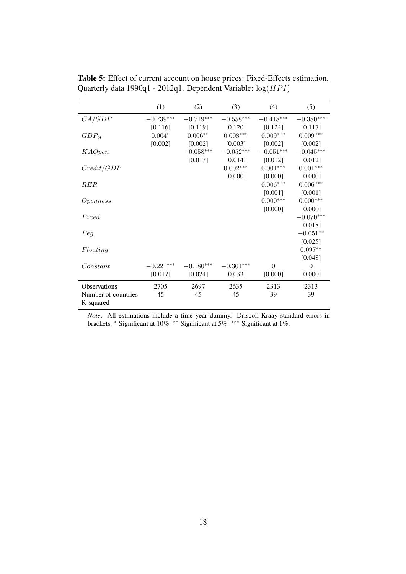|                     | (1)              | (2)         | (3)         | (4)                     | (5)            |
|---------------------|------------------|-------------|-------------|-------------------------|----------------|
| CA/GDP              | $-0.739^{***}\,$ | $-0.719***$ | $-0.558***$ | $-0.418^{\ast\ast\ast}$ | $-0.380***$    |
|                     | [0.116]          | [0.119]     | [0.120]     | [0.124]                 | [0.117]        |
| GDPg                | $0.004*$         | $0.006**$   | $0.008***$  | $0.009***$              | $0.009***$     |
|                     | [0.002]          | [0.002]     | [0.003]     | [0.002]                 | [0.002]        |
| <b>KAOpen</b>       |                  | $-0.058***$ | $-0.052***$ | $-0.051***$             | $-0.045***$    |
|                     |                  | [0.013]     | [0.014]     | [0.012]                 | [0.012]        |
| Credit/GDP          |                  |             | $0.002***$  | $0.001***$              | $0.001***$     |
|                     |                  |             | [0.000]     | [0.000]                 | [0.000]        |
| RER                 |                  |             |             | $0.006***$              | $0.006***$     |
|                     |                  |             |             | [0.001]                 | [0.001]        |
| Openness            |                  |             |             | $0.000***$              | $0.000***$     |
|                     |                  |             |             | [0.000]                 | [0.000]        |
| Fixed               |                  |             |             |                         | $-0.070***$    |
|                     |                  |             |             |                         | [0.018]        |
| Peg                 |                  |             |             |                         | $-0.051**$     |
|                     |                  |             |             |                         | [0.025]        |
| Floating            |                  |             |             |                         | $0.097**$      |
|                     |                  |             |             |                         | [0.048]        |
| Constant            | $-0.221***$      | $-0.180***$ | $-0.301***$ | $\mathbf{0}$            | $\overline{0}$ |
|                     | [0.017]          | [0.024]     | [0.033]     | [0.000]                 | [0.000]        |
| <b>Observations</b> | 2705             | 2697        | 2635        | 2313                    | 2313           |
| Number of countries | 45               | 45          | 45          | 39                      | 39             |
| R-squared           |                  |             |             |                         |                |
|                     |                  |             |             |                         |                |

<span id="page-17-0"></span>Table 5: Effect of current account on house prices: Fixed-Effects estimation. Quarterly data 1990q1 - 2012q1. Dependent Variable:  $log(HPI)$ 

*Note*. All estimations include a time year dummy. Driscoll-Kraay standard errors in brackets. <sup>∗</sup> Significant at 10%. ∗∗ Significant at 5%. ∗∗∗ Significant at 1%.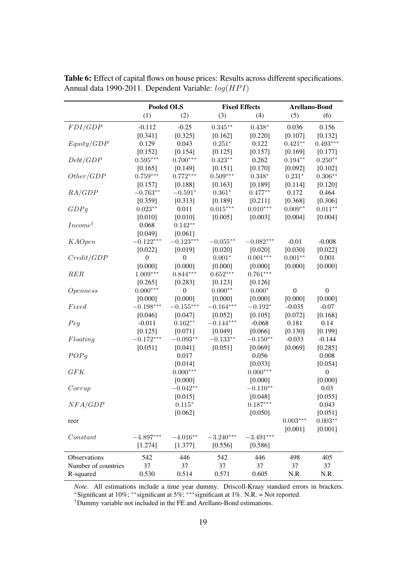|                            | Pooled OLS       |                  | <b>Fixed Effects</b> |             | Arellano-Bond    |                  |
|----------------------------|------------------|------------------|----------------------|-------------|------------------|------------------|
|                            | (1)              | (2)              | (3)                  | (4)         | (5)              | (6)              |
|                            |                  |                  |                      |             |                  |                  |
| FDI/GDP                    | $-0.112$         | $-0.25$          | $0.345**$            | $0.438*$    | 0.036            | 0.156            |
|                            | [0.341]          | [0.325]          | [0.162]              | [0.220]     | [0.107]          | [0.132]          |
| Equity/GDP                 | 0.129            | 0.043            | $0.251*$             | 0.122       | $0.421**$        | $0.493***$       |
|                            | [0.152]          | [0.154]          | [0.125]              | [0.157]     | [0.169]          | [0.177]          |
| Debt/GDP                   | $0.595***$       | $0.700***$       | $0.423**$            | 0.262       | $0.194**$        | $0.250**$        |
|                            | [0.165]          | [0.149]          | [0.151]              | [0.170]     | [0.092]          | [0.102]          |
| Other/GDP                  | $0.759***$       | $0.772***$       | $0.509***$           | $0.348*$    | $0.231^{\ast}$   | $0.306**$        |
|                            | [0.157]          | [0.188]          | [0.163]              | [0.189]     | [0.114]          | [0.120]          |
| RA/GDP                     | $-0.763**$       | $-0.591^{\ast}$  | $0.361*$             | $0.477**$   | 0.172            | 0.464            |
|                            | [0.359]          | [0.313]          | [0.189]              | [0.211]     | [0.368]          | [0.306]          |
| GDPg                       | $0.023**$        | 0.011            | $0.015***$           | $0.010***$  | $0.009**$        | $0.011**$        |
|                            | [0.010]          | [0.010]          | [0.005]              | [0.003]     | [0.004]          | [0.004]          |
| <i>Income</i> <sup>†</sup> | 0.068            | $0.142**$        |                      |             |                  |                  |
|                            | [0.049]          | [0.061]          |                      |             |                  |                  |
| <b>KAOpen</b>              | $-0.122***$      | $-0.123***$      | $-0.055**$           | $-0.082***$ | $-0.01$          | $-0.008$         |
|                            | [0.022]          | [0.019]          | [0.020]              | [0.020]     | [0.030]          | [0.022]          |
| Credit/GDP                 | $\boldsymbol{0}$ | $\boldsymbol{0}$ | $0.001*$             | $0.001***$  | $0.001**$        | 0.001            |
|                            | [0.000]          | [0.000]          | [0.000]              | [0.000]     | [0.000]          | [0.000]          |
| RER                        | $1.009***$       | $0.844***$       | $0.652***$           | $0.761***$  |                  |                  |
|                            | [0.265]          | [0.283]          | [0.123]              | [0.126]     |                  |                  |
| <i>Openness</i>            | $0.000***$       | $\boldsymbol{0}$ | $0.000**$            | $0.000*$    | $\boldsymbol{0}$ | $\boldsymbol{0}$ |
|                            | [0.000]          | [0.000]          | [0.000]              | [0.000]     | [0.000]          | [0.000]          |
| Fixed                      | $-0.198***$      | $-0.155***$      | $-0.164***$          | $-0.192*$   | $-0.035$         | $-0.07$          |
|                            | [0.046]          | [0.047]          | [0.052]              | [0.105]     | [0.072]          | [0.168]          |
| Peg                        | $-0.011$         | $0.162**$        | $-0.144***$          | $-0.068$    | 0.181            | 0.14             |
|                            | [0.125]          | [0.071]          | [0.049]              | [0.066]     | [0.130]          | [0.199]          |
| Floating                   | $-0.172***$      | $-0.093**$       | $-0.133^{\ast\ast}$  | $-0.150**$  | $-0.033$         | $-0.144$         |
|                            | [0.051]          | [0.041]          | [0.051]              | [0.069]     | [0.069]          | [0.285]          |
| POPg                       |                  | 0.017            |                      | 0.056       |                  | 0.008            |
|                            |                  | [0.014]          |                      | [0.033]     |                  | [0.054]          |
| GFK                        |                  | $0.000***$       |                      | $0.000***$  |                  | $\boldsymbol{0}$ |
|                            |                  | [0.000]          |                      | [0.000]     |                  | [0.000]          |
| Corrup                     |                  | $-0.042**$       |                      | $-0.110**$  |                  | 0.03             |
|                            |                  | [0.015]          |                      | [0.048]     |                  | [0.055]          |
| NFA/GDP                    |                  | $0.115^{\ast}$   |                      | $0.187***$  |                  | 0.043            |
|                            |                  | [0.062]          |                      | [0.050]     |                  | [0.051]          |
| reer                       |                  |                  |                      |             | $0.003^{***}\,$  | $0.003**$        |
|                            |                  |                  |                      |             | [0.001]          | [0.001]          |
| Constant                   | $-4.897***$      | $-4.016**$       | $-3.240***$          | $-3.491***$ |                  |                  |
|                            | [1.274]          | [1.377]          | [0.556]              | [0.586]     |                  |                  |
| Observations               | 542              | 446              | 542                  | 446         | 498              | 405              |
| Number of countries        | 37               | 37               | 37                   | 37          | 37               | 37               |
| R-squared                  | 0.530            | 0.514            | 0.571                | 0.605       | N.R.             | N.R.             |

<span id="page-18-0"></span>Table 6: Effect of capital flows on house prices: Results across different specifications. Annual data 1990-2011. Dependent Variable:  $log(HPI)$ 

*Note*. All estimations include a time year dummy. Driscoll-Kraay standard errors in brackets. <sup>∗</sup>Significant at 10%; ∗∗significant at 5%; ∗∗∗significant at 1%. N.R. = Not reported.

†Dummy variable not included in the FE and Arellano-Bond estimations.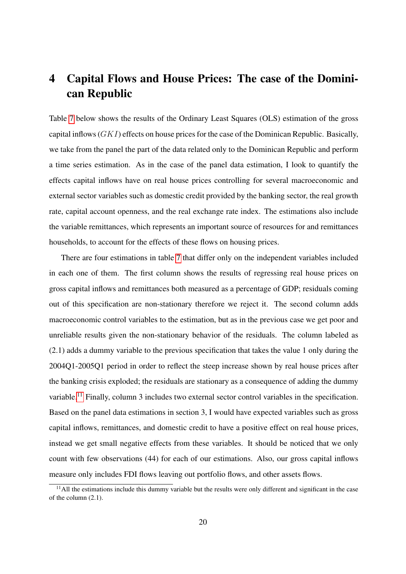## <span id="page-19-0"></span>4 Capital Flows and House Prices: The case of the Dominican Republic

Table [7](#page-20-0) below shows the results of the Ordinary Least Squares (OLS) estimation of the gross capital inflows  $(GKI)$  effects on house prices for the case of the Dominican Republic. Basically, we take from the panel the part of the data related only to the Dominican Republic and perform a time series estimation. As in the case of the panel data estimation, I look to quantify the effects capital inflows have on real house prices controlling for several macroeconomic and external sector variables such as domestic credit provided by the banking sector, the real growth rate, capital account openness, and the real exchange rate index. The estimations also include the variable remittances, which represents an important source of resources for and remittances households, to account for the effects of these flows on housing prices.

There are four estimations in table [7](#page-20-0) that differ only on the independent variables included in each one of them. The first column shows the results of regressing real house prices on gross capital inflows and remittances both measured as a percentage of GDP; residuals coming out of this specification are non-stationary therefore we reject it. The second column adds macroeconomic control variables to the estimation, but as in the previous case we get poor and unreliable results given the non-stationary behavior of the residuals. The column labeled as (2.1) adds a dummy variable to the previous specification that takes the value 1 only during the 2004Q1-2005Q1 period in order to reflect the steep increase shown by real house prices after the banking crisis exploded; the residuals are stationary as a consequence of adding the dummy variable.<sup>[11](#page-19-1)</sup> Finally, column 3 includes two external sector control variables in the specification. Based on the panel data estimations in section 3, I would have expected variables such as gross capital inflows, remittances, and domestic credit to have a positive effect on real house prices, instead we get small negative effects from these variables. It should be noticed that we only count with few observations (44) for each of our estimations. Also, our gross capital inflows measure only includes FDI flows leaving out portfolio flows, and other assets flows.

<span id="page-19-1"></span> $<sup>11</sup>$ All the estimations include this dummy variable but the results were only different and significant in the case</sup> of the column (2.1).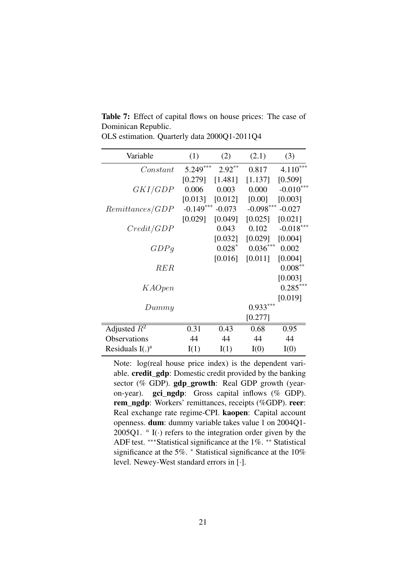| Variable           | (1)         | (2)       | (2.1)       | (3)         |
|--------------------|-------------|-----------|-------------|-------------|
| Constant           | 5.249***    | $2.92***$ | 0.817       | $4.110***$  |
|                    | [0.279]     | [1.481]   | [1.137]     | [0.509]     |
| <i>GKI/GDP</i>     | 0.006       | 0.003     | 0.000       | $-0.010***$ |
|                    | [0.013]     | [0.012]   | [0.00]      | [0.003]     |
| Remittances/GDP    | $-0.149***$ | $-0.073$  | $-0.098***$ | $-0.027$    |
|                    | [0.029]     | [0.049]   | [0.025]     | [0.021]     |
| Credit/GDP         |             | 0.043     | 0.102       | $-0.018***$ |
|                    |             | [0.032]   | [0.029]     | [0.004]     |
| GDPq               |             | $0.028*$  | $0.036***$  | 0.002       |
|                    |             | [0.016]   | [0.011]     | [0.004]     |
| RER                |             |           |             | $0.008***$  |
|                    |             |           |             | [0.003]     |
| K AOpen            |             |           |             | $0.285***$  |
|                    |             |           |             | [0.019]     |
| Dummy              |             |           | $0.933***$  |             |
|                    |             |           | [0.277]     |             |
| Adjusted $R^2$     | 0.31        | 0.43      | 0.68        | 0.95        |
| Observations       | 44          | 44        | 44          | 44          |
| Residuals $I(.)^a$ | I(1)        | I(1)      | I(0)        | I(0)        |

<span id="page-20-0"></span>Table 7: Effect of capital flows on house prices: The case of Dominican Republic. OLS estimation. Quarterly data 2000Q1-2011Q4

Note: log(real house price index) is the dependent variable. credit\_gdp: Domestic credit provided by the banking sector (% GDP). **gdp\_growth**: Real GDP growth (yearon-year). gci\_ngdp: Gross capital inflows (% GDP). rem\_ngdp: Workers' remittances, receipts (%GDP). reer: Real exchange rate regime-CPI. kaopen: Capital account openness. dum: dummy variable takes value 1 on 2004Q1- 2005Q1.  $\alpha$  I(·) refers to the integration order given by the ADF test. ∗∗∗Statistical significance at the 1%. ∗∗ Statistical significance at the 5%.  $*$  Statistical significance at the 10% level. Newey-West standard errors in [·].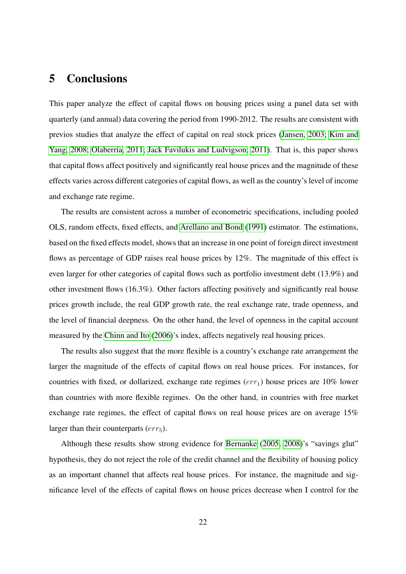## <span id="page-21-0"></span>5 Conclusions

This paper analyze the effect of capital flows on housing prices using a panel data set with quarterly (and annual) data covering the period from 1990-2012. The results are consistent with previos studies that analyze the effect of capital on real stock prices [\(Jansen, 2003;](#page-24-1) [Kim and](#page-24-2) [Yang, 2008;](#page-24-2) [Olaberría, 2011;](#page-24-0) [Jack Favilukis and Ludvigson, 2011\)](#page-24-3). That is, this paper shows that capital flows affect positively and significantly real house prices and the magnitude of these effects varies across different categories of capital flows, as well as the country's level of income and exchange rate regime.

The results are consistent across a number of econometric specifications, including pooled OLS, random effects, fixed effects, and [Arellano and Bond](#page-23-5) [\(1991\)](#page-23-5) estimator. The estimations, based on the fixed effects model, shows that an increase in one point of foreign direct investment flows as percentage of GDP raises real house prices by 12%. The magnitude of this effect is even larger for other categories of capital flows such as portfolio investment debt (13.9%) and other investment flows (16.3%). Other factors affecting positively and significantly real house prices growth include, the real GDP growth rate, the real exchange rate, trade openness, and the level of financial deepness. On the other hand, the level of openness in the capital account measured by the [Chinn and Ito](#page-23-6) [\(2006\)](#page-23-6)'s index, affects negatively real housing prices.

The results also suggest that the more flexible is a country's exchange rate arrangement the larger the magnitude of the effects of capital flows on real house prices. For instances, for countries with fixed, or dollarized, exchange rate regimes  $(err<sub>1</sub>)$  house prices are 10% lower than countries with more flexible regimes. On the other hand, in countries with free market exchange rate regimes, the effect of capital flows on real house prices are on average 15% larger than their counterparts  $(err_5)$ .

Although these results show strong evidence for [Bernanke](#page-23-0) [\(2005,](#page-23-0) [2008\)](#page-23-1)'s "savings glut" hypothesis, they do not reject the role of the credit channel and the flexibility of housing policy as an important channel that affects real house prices. For instance, the magnitude and significance level of the effects of capital flows on house prices decrease when I control for the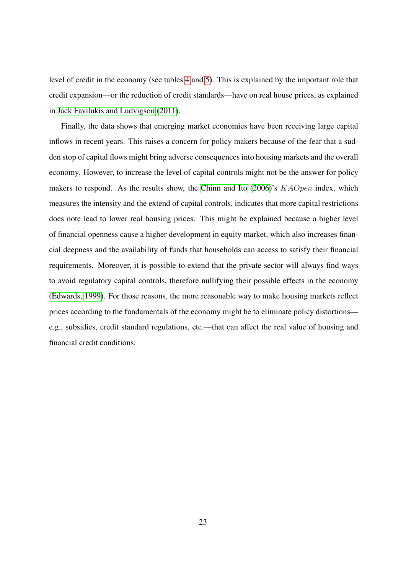level of credit in the economy (see tables [4](#page-16-0) and [5\)](#page-17-0). This is explained by the important role that credit expansion—or the reduction of credit standards—have on real house prices, as explained in [Jack Favilukis and Ludvigson](#page-24-3) [\(2011\)](#page-24-3).

Finally, the data shows that emerging market economies have been receiving large capital inflows in recent years. This raises a concern for policy makers because of the fear that a sudden stop of capital flows might bring adverse consequences into housing markets and the overall economy. However, to increase the level of capital controls might not be the answer for policy makers to respond. As the results show, the [Chinn and Ito](#page-23-6)  $(2006)$ 's  $KAOpen$  index, which measures the intensity and the extend of capital controls, indicates that more capital restrictions does note lead to lower real housing prices. This might be explained because a higher level of financial openness cause a higher development in equity market, which also increases financial deepness and the availability of funds that households can access to satisfy their financial requirements. Moreover, it is possible to extend that the private sector will always find ways to avoid regulatory capital controls, therefore nullifying their possible effects in the economy [\(Edwards, 1999\)](#page-23-10). For those reasons, the more reasonable way to make housing markets reflect prices according to the fundamentals of the economy might be to eliminate policy distortions e.g., subsidies, credit standard regulations, etc.—that can affect the real value of housing and financial credit conditions.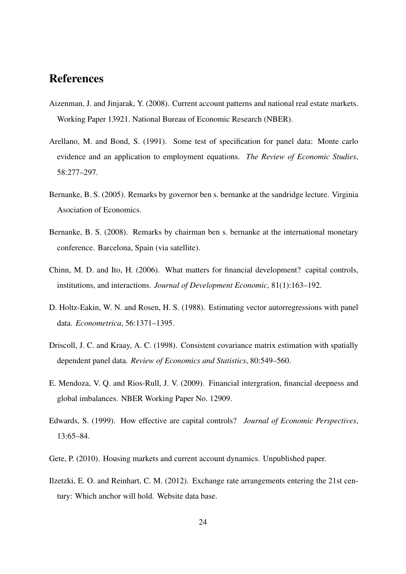## References

- <span id="page-23-4"></span>Aizenman, J. and Jinjarak, Y. (2008). Current account patterns and national real estate markets. Working Paper 13921. National Bureau of Economic Research (NBER).
- <span id="page-23-5"></span>Arellano, M. and Bond, S. (1991). Some test of specification for panel data: Monte carlo evidence and an application to employment equations. *The Review of Economic Studies*, 58:277–297.
- <span id="page-23-0"></span>Bernanke, B. S. (2005). Remarks by governor ben s. bernanke at the sandridge lecture. Virginia Asociation of Economics.
- <span id="page-23-1"></span>Bernanke, B. S. (2008). Remarks by chairman ben s. bernanke at the international monetary conference. Barcelona, Spain (via satellite).
- <span id="page-23-6"></span>Chinn, M. D. and Ito, H. (2006). What matters for financial development? capital controls, institutions, and interactions. *Journal of Development Economic*, 81(1):163–192.
- <span id="page-23-9"></span>D. Holtz-Eakin, W. N. and Rosen, H. S. (1988). Estimating vector autorregressions with panel data. *Econometrica*, 56:1371–1395.
- <span id="page-23-7"></span>Driscoll, J. C. and Kraay, A. C. (1998). Consistent covariance matrix estimation with spatially dependent panel data. *Review of Economics and Statistics*, 80:549–560.
- <span id="page-23-2"></span>E. Mendoza, V. Q. and Rios-Rull, J. V. (2009). Financial intergration, financial deepness and global imbalances. NBER Working Paper No. 12909.
- <span id="page-23-10"></span>Edwards, S. (1999). How effective are capital controls? *Journal of Economic Perspectives*, 13:65–84.
- <span id="page-23-3"></span>Gete, P. (2010). Housing markets and current account dynamics. Unpublished paper.
- <span id="page-23-8"></span>Ilzetzki, E. O. and Reinhart, C. M. (2012). Exchange rate arrangements entering the 21st century: Which anchor will hold. Website data base.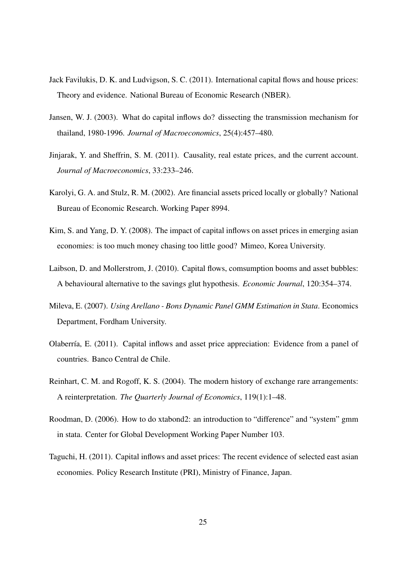- <span id="page-24-3"></span>Jack Favilukis, D. K. and Ludvigson, S. C. (2011). International capital flows and house prices: Theory and evidence. National Bureau of Economic Research (NBER).
- <span id="page-24-1"></span>Jansen, W. J. (2003). What do capital inflows do? dissecting the transmission mechanism for thailand, 1980-1996. *Journal of Macroeconomics*, 25(4):457–480.
- <span id="page-24-5"></span>Jinjarak, Y. and Sheffrin, S. M. (2011). Causality, real estate prices, and the current account. *Journal of Macroeconomics*, 33:233–246.
- <span id="page-24-7"></span>Karolyi, G. A. and Stulz, R. M. (2002). Are financial assets priced locally or globally? National Bureau of Economic Research. Working Paper 8994.
- <span id="page-24-2"></span>Kim, S. and Yang, D. Y. (2008). The impact of capital inflows on asset prices in emerging asian economies: is too much money chasing too little good? Mimeo, Korea University.
- <span id="page-24-4"></span>Laibson, D. and Mollerstrom, J. (2010). Capital flows, comsumption booms and asset bubbles: A behavioural alternative to the savings glut hypothesis. *Economic Journal*, 120:354–374.
- <span id="page-24-9"></span>Mileva, E. (2007). *Using Arellano - Bons Dynamic Panel GMM Estimation in Stata*. Economics Department, Fordham University.
- <span id="page-24-0"></span>Olaberría, E. (2011). Capital inflows and asset price appreciation: Evidence from a panel of countries. Banco Central de Chile.
- <span id="page-24-8"></span>Reinhart, C. M. and Rogoff, K. S. (2004). The modern history of exchange rare arrangements: A reinterpretation. *The Quarterly Journal of Economics*, 119(1):1–48.
- <span id="page-24-10"></span>Roodman, D. (2006). How to do xtabond2: an introduction to "difference" and "system" gmm in stata. Center for Global Development Working Paper Number 103.
- <span id="page-24-6"></span>Taguchi, H. (2011). Capital inflows and asset prices: The recent evidence of selected east asian economies. Policy Research Institute (PRI), Ministry of Finance, Japan.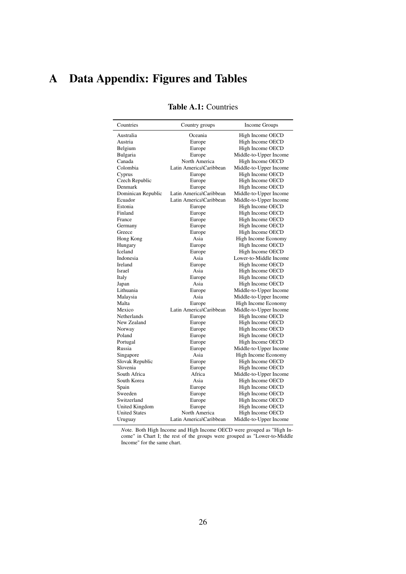# <span id="page-25-1"></span><span id="page-25-0"></span>A Data Appendix: Figures and Tables

| Countries            | Country groups          | Income Groups          |
|----------------------|-------------------------|------------------------|
| Australia            | Oceania                 | High Income OECD       |
| Austria              | Europe                  | High Income OECD       |
| Belgium              | Europe                  | High Income OECD       |
| Bulgaria             | Europe                  | Middle-to-Upper Income |
| Canada               | North America           | High Income OECD       |
| Colombia             | Latin America\Caribbean | Middle-to-Upper Income |
| Cyprus               | Europe                  | High Income OECD       |
| Czech Republic       | Europe                  | High Income OECD       |
| Denmark              | Europe                  | High Income OECD       |
| Dominican Republic   | Latin America\Caribbean | Middle-to-Upper Income |
| Ecuador              | Latin America\Caribbean | Middle-to-Upper Income |
| Estonia              | Europe                  | High Income OECD       |
| Finland              | Europe                  | High Income OECD       |
| France               | Europe                  | High Income OECD       |
| Germany              | Europe                  | High Income OECD       |
| Greece               | Europe                  | High Income OECD       |
| Hong Kong            | Asia                    | High Income Economy    |
| Hungary              | Europe                  | High Income OECD       |
| Iceland              | Europe                  | High Income OECD       |
| Indonesia            | Asia                    | Lower-to-Middle Income |
| Ireland              | Europe                  | High Income OECD       |
| Israel               | Asia                    | High Income OECD       |
| Italy                | Europe                  | High Income OECD       |
| Japan                | Asia                    | High Income OECD       |
| Lithuania            | Europe                  | Middle-to-Upper Income |
| Malaysia             | Asia                    | Middle-to-Upper Income |
| Malta                | Europe                  | High Income Economy    |
| Mexico               | Latin America\Caribbean | Middle-to-Upper Income |
| Netherlands          | Europe                  | High Income OECD       |
| New Zealand          | Europe                  | High Income OECD       |
| Norway               | Europe                  | High Income OECD       |
| Poland               | Europe                  | High Income OECD       |
| Portugal             | Europe                  | High Income OECD       |
| Russia               | Europe                  | Middle-to-Upper Income |
| Singapore            | Asia                    | High Income Economy    |
| Slovak Republic      | Europe                  | High Income OECD       |
| Slovenia             | Europe                  | High Income OECD       |
| South Africa         | Africa                  | Middle-to-Upper Income |
| South Korea          | Asia                    | High Income OECD       |
| Spain                | Europe                  | High Income OECD       |
| Sweeden              | Europe                  | High Income OECD       |
| Switzerland          | Europe                  | High Income OECD       |
| United Kingdom       | Europe                  | High Income OECD       |
| <b>United States</b> | North America           | High Income OECD       |
| Uruguay              | Latin America\Caribbean | Middle-to-Upper Income |

### Table A.1: Countries

*N*ote. Both High Income and High Income OECD were grouped as "High Income" in Chart I; the rest of the groups were grouped as "Lower-to-Middle Income" for the same chart.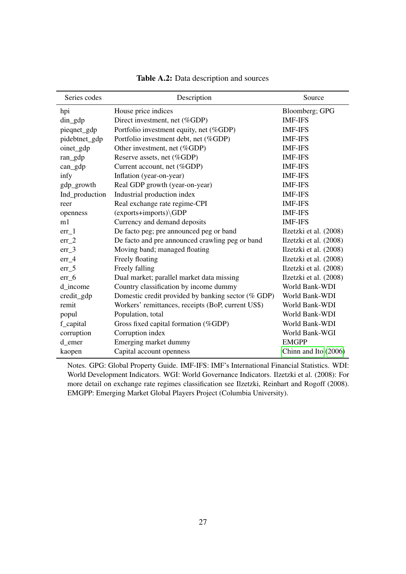<span id="page-26-0"></span>

| Series codes   | Description                                        | Source                 |
|----------------|----------------------------------------------------|------------------------|
| hpi            | House price indices                                | Bloomberg; GPG         |
| din_gdp        | Direct investment, net (%GDP)                      | <b>IMF-IFS</b>         |
| pieqnet_gdp    | Portfolio investment equity, net (%GDP)            | <b>IMF-IFS</b>         |
| pidebtnet_gdp  | Portfolio investment debt, net (%GDP)              | <b>IMF-IFS</b>         |
| oinet_gdp      | Other investment, net (%GDP)                       | <b>IMF-IFS</b>         |
| ran_gdp        | Reserve assets, net (%GDP)                         | <b>IMF-IFS</b>         |
| $can\_gdp$     | Current account, net (%GDP)                        | <b>IMF-IFS</b>         |
| infy           | Inflation (year-on-year)                           | <b>IMF-IFS</b>         |
| gdp_growth     | Real GDP growth (year-on-year)                     | <b>IMF-IFS</b>         |
| Ind_production | Industrial production index                        | <b>IMF-IFS</b>         |
| reer           | Real exchange rate regime-CPI                      | <b>IMF-IFS</b>         |
| openness       | (exports+imports)\GDP                              | <b>IMF-IFS</b>         |
| m1             | Currency and demand deposits                       | <b>IMF-IFS</b>         |
| $err_1$        | De facto peg; pre announced peg or band            | Ilzetzki et al. (2008) |
| $err_2$        | De facto and pre announced crawling peg or band    | Ilzetzki et al. (2008) |
| $err_3$        | Moving band; managed floating                      | Ilzetzki et al. (2008) |
| $err_4$        | Freely floating                                    | Ilzetzki et al. (2008) |
| $err_{5}$      | Freely falling                                     | Ilzetzki et al. (2008) |
| $err_6$        | Dual market; parallel market data missing          | Ilzetzki et al. (2008) |
| d income       | Country classification by income dummy             | World Bank-WDI         |
| credit_gdp     | Domestic credit provided by banking sector (% GDP) | World Bank-WDI         |
| remit          | Workers' remittances, receipts (BoP, current US\$) | World Bank-WDI         |
| popul          | Population, total                                  | World Bank-WDI         |
| f_capital      | Gross fixed capital formation (%GDP)               | World Bank-WDI         |
| corruption     | Corruption index                                   | World Bank-WGI         |
| d_emer         | Emerging market dummy                              | <b>EMGPP</b>           |
| kaopen         | Capital account openness                           | Chinn and Ito (2006)   |

Table A.2: Data description and sources

Notes. GPG: Global Property Guide. IMF-IFS: IMF's International Financial Statistics. WDI: World Development Indicators. WGI: World Governance Indicators. Ilzetzki et al. (2008): For more detail on exchange rate regimes classification see Ilzetzki, Reinhart and Rogoff (2008). EMGPP: Emerging Market Global Players Project (Columbia University).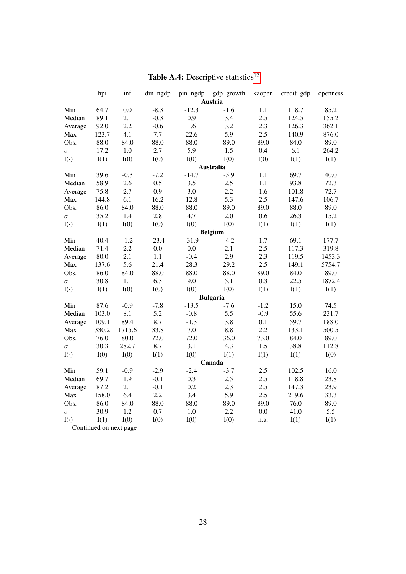<span id="page-27-0"></span>

|            | hpi   | $\overline{\inf}$      | din_ngdp | pin_ngdp | gdp_growth      | kaopen | credit_gdp | openness |
|------------|-------|------------------------|----------|----------|-----------------|--------|------------|----------|
|            |       |                        |          |          | <b>Austria</b>  |        |            |          |
| Min        | 64.7  | 0.0                    | $-8.3$   | $-12.3$  | $-1.6$          | 1.1    | 118.7      | 85.2     |
| Median     | 89.1  | 2.1                    | $-0.3$   | 0.9      | 3.4             | 2.5    | 124.5      | 155.2    |
| Average    | 92.0  | 2.2                    | $-0.6$   | 1.6      | 3.2             | 2.3    | 126.3      | 362.1    |
| Max        | 123.7 | 4.1                    | 7.7      | 22.6     | 5.9             | 2.5    | 140.9      | 876.0    |
| Obs.       | 88.0  | 84.0                   | 88.0     | 88.0     | 89.0            | 89.0   | 84.0       | 89.0     |
| $\sigma$   | 17.2  | 1.0                    | 2.7      | 5.9      | 1.5             | 0.4    | 6.1        | 264.2    |
| $I(\cdot)$ | I(1)  | I(0)                   | I(0)     | I(0)     | I(0)            | I(0)   | I(1)       | I(1)     |
|            |       |                        |          |          | Australia       |        |            |          |
| Min        | 39.6  | $-0.3$                 | $-7.2$   | $-14.7$  | $-5.9$          | 1.1    | 69.7       | 40.0     |
| Median     | 58.9  | 2.6                    | 0.5      | 3.5      | 2.5             | 1.1    | 93.8       | 72.3     |
| Average    | 75.8  | 2.7                    | 0.9      | 3.0      | 2.2             | 1.6    | 101.8      | 72.7     |
| Max        | 144.8 | 6.1                    | 16.2     | 12.8     | 5.3             | 2.5    | 147.6      | 106.7    |
| Obs.       | 86.0  | 84.0                   | 88.0     | 88.0     | 89.0            | 89.0   | 88.0       | 89.0     |
| $\sigma$   | 35.2  | 1.4                    | 2.8      | 4.7      | 2.0             | 0.6    | 26.3       | 15.2     |
| $I(\cdot)$ | I(1)  | I(0)                   | I(0)     | I(0)     | I(0)            | I(1)   | I(1)       | I(1)     |
|            |       |                        |          |          | <b>Belgium</b>  |        |            |          |
| Min        | 40.4  | $-1.2$                 | $-23.4$  | $-31.9$  | $-4.2$          | 1.7    | 69.1       | 177.7    |
| Median     | 71.4  | 2.2                    | 0.0      | 0.0      | 2.1             | 2.5    | 117.3      | 319.8    |
| Average    | 80.0  | 2.1                    | 1.1      | $-0.4$   | 2.9             | 2.3    | 119.5      | 1453.3   |
| Max        | 137.6 | 5.6                    | 21.4     | 28.3     | 29.2            | 2.5    | 149.1      | 5754.7   |
| Obs.       | 86.0  | 84.0                   | 88.0     | 88.0     | 88.0            | 89.0   | 84.0       | 89.0     |
| $\sigma$   | 30.8  | 1.1                    | 6.3      | 9.0      | 5.1             | 0.3    | 22.5       | 1872.4   |
| $I(\cdot)$ | I(1)  | I(0)                   | I(0)     | I(0)     | I(0)            | I(1)   | I(1)       | I(1)     |
|            |       |                        |          |          | <b>Bulgaria</b> |        |            |          |
| Min        | 87.6  | $-0.9$                 | $-7.8$   | $-13.5$  | $-7.6$          | $-1.2$ | 15.0       | 74.5     |
| Median     | 103.0 | 8.1                    | 5.2      | $-0.8$   | 5.5             | $-0.9$ | 55.6       | 231.7    |
| Average    | 109.1 | 89.4                   | 8.7      | $-1.3$   | 3.8             | 0.1    | 59.7       | 188.0    |
| Max        | 330.2 | 1715.6                 | 33.8     | $7.0\,$  | $8.8\,$         | 2.2    | 133.1      | 500.5    |
| Obs.       | 76.0  | 80.0                   | 72.0     | 72.0     | 36.0            | 73.0   | 84.0       | 89.0     |
| $\sigma$   | 30.3  | 282.7                  | 8.7      | 3.1      | 4.3             | 1.5    | 38.8       | 112.8    |
| $I(\cdot)$ | I(0)  | I(0)                   | I(1)     | I(0)     | I(1)            | I(1)   | I(1)       | I(0)     |
|            |       |                        |          |          | Canada          |        |            |          |
| Min        | 59.1  | $-0.9$                 | $-2.9$   | $-2.4$   | $-3.7$          | 2.5    | 102.5      | 16.0     |
| Median     | 69.7  | 1.9                    | $-0.1$   | 0.3      | 2.5             | 2.5    | 118.8      | 23.8     |
| Average    | 87.2  | 2.1                    | $-0.1$   | 0.2      | 2.3             | 2.5    | 147.3      | 23.9     |
| Max        | 158.0 | 6.4                    | 2.2      | 3.4      | 5.9             | 2.5    | 219.6      | 33.3     |
| Obs.       | 86.0  | 84.0                   | 88.0     | 88.0     | 89.0            | 89.0   | 76.0       | 89.0     |
| $\sigma$   | 30.9  | 1.2                    | 0.7      | 1.0      | 2.2             | 0.0    | 41.0       | 5.5      |
| $I(\cdot)$ | I(1)  | I(0)                   | I(0)     | I(0)     | I(0)            | n.a.   | I(1)       | I(1)     |
|            |       | Continued on next page |          |          |                 |        |            |          |

Table A.4: Descriptive statistics $^{12}$  $^{12}$  $^{12}$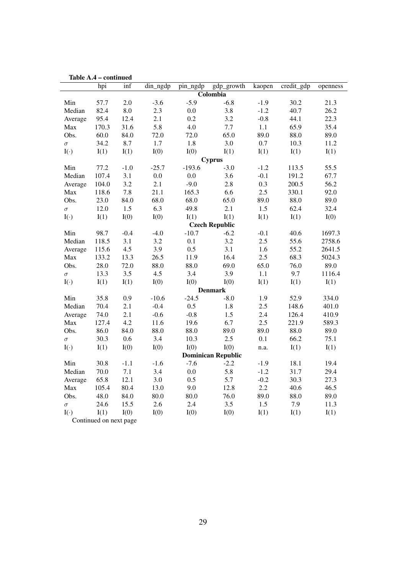| Table A.4  |                        | - сопиниеа |          |          |                           |         |            |          |
|------------|------------------------|------------|----------|----------|---------------------------|---------|------------|----------|
|            | hpi                    | inf        | din_ngdp | pin_ngdp | gdp_growth                | kaopen  | credit_gdp | openness |
|            |                        |            |          |          | Colombia                  |         |            |          |
| Min        | 57.7                   | 2.0        | $-3.6$   | $-5.9$   | $-6.8$                    | $-1.9$  | 30.2       | 21.3     |
| Median     | 82.4                   | $\rm 8.0$  | 2.3      | $0.0\,$  | 3.8                       | $-1.2$  | 40.7       | 26.2     |
| Average    | 95.4                   | 12.4       | 2.1      | 0.2      | 3.2                       | $-0.8$  | 44.1       | 22.3     |
| Max        | 170.3                  | 31.6       | 5.8      | 4.0      | 7.7                       | 1.1     | 65.9       | 35.4     |
| Obs.       | 60.0                   | 84.0       | 72.0     | 72.0     | 65.0                      | 89.0    | 88.0       | 89.0     |
| $\sigma$   | 34.2                   | 8.7        | $1.7\,$  | 1.8      | 3.0                       | $0.7\,$ | 10.3       | 11.2     |
| $I(\cdot)$ | I(1)                   | I(1)       | I(0)     | I(0)     | I(1)                      | I(1)    | I(1)       | I(1)     |
|            |                        |            |          |          | <b>Cyprus</b>             |         |            |          |
| Min        | 77.2                   | $-1.0$     | $-25.7$  | $-193.6$ | $-3.0$                    | $-1.2$  | 113.5      | 55.5     |
| Median     | 107.4                  | 3.1        | $0.0\,$  | $0.0\,$  | 3.6                       | $-0.1$  | 191.2      | 67.7     |
| Average    | 104.0                  | 3.2        | 2.1      | $-9.0$   | 2.8                       | 0.3     | 200.5      | 56.2     |
| Max        | 118.6                  | 7.8        | 21.1     | 165.3    | 6.6                       | 2.5     | 330.1      | 92.0     |
| Obs.       | 23.0                   | 84.0       | 68.0     | 68.0     | 65.0                      | 89.0    | 88.0       | 89.0     |
| $\sigma$   | 12.0                   | 1.5        | 6.3      | 49.8     | 2.1                       | 1.5     | 62.4       | 32.4     |
| $I(\cdot)$ | I(1)                   | I(0)       | I(0)     | I(1)     | I(1)                      | I(1)    | I(1)       | I(0)     |
|            |                        |            |          |          | <b>Czech Republic</b>     |         |            |          |
| Min        | 98.7                   | $-0.4$     | $-4.0$   | $-10.7$  | $-6.2$                    | $-0.1$  | 40.6       | 1697.3   |
| Median     | 118.5                  | 3.1        | 3.2      | 0.1      | 3.2                       | 2.5     | 55.6       | 2758.6   |
| Average    | 115.6                  | 4.5        | 3.9      | 0.5      | 3.1                       | 1.6     | 55.2       | 2641.5   |
| Max        | 133.2                  | 13.3       | 26.5     | 11.9     | 16.4                      | 2.5     | 68.3       | 5024.3   |
| Obs.       | 28.0                   | 72.0       | 88.0     | 88.0     | 69.0                      | 65.0    | 76.0       | 89.0     |
| $\sigma$   | 13.3                   | 3.5        | 4.5      | 3.4      | 3.9                       | 1.1     | 9.7        | 1116.4   |
| $I(\cdot)$ | I(1)                   | I(1)       | I(0)     | I(0)     | I(0)                      | I(1)    | I(1)       | I(1)     |
|            |                        |            |          |          | <b>Denmark</b>            |         |            |          |
| Min        | 35.8                   | 0.9        | $-10.6$  | $-24.5$  | $-8.0$                    | 1.9     | 52.9       | 334.0    |
| Median     | 70.4                   | 2.1        | $-0.4$   | 0.5      | 1.8                       | $2.5\,$ | 148.6      | 401.0    |
| Average    | 74.0                   | 2.1        | $-0.6$   | $-0.8$   | 1.5                       | 2.4     | 126.4      | 410.9    |
| Max        | 127.4                  | 4.2        | 11.6     | 19.6     | 6.7                       | 2.5     | 221.9      | 589.3    |
| Obs.       | 86.0                   | 84.0       | 88.0     | 88.0     | 89.0                      | 89.0    | 88.0       | 89.0     |
| $\sigma$   | 30.3                   | 0.6        | 3.4      | 10.3     | 2.5                       | 0.1     | 66.2       | 75.1     |
| $I(\cdot)$ | I(1)                   | I(0)       | I(0)     | I(0)     | I(0)                      | n.a.    | I(1)       | I(1)     |
|            |                        |            |          |          | <b>Dominican Republic</b> |         |            |          |
| Min        | 30.8                   | $-1.1$     | $-1.6$   | $-7.6$   | $-2.2$                    | $-1.9$  | 18.1       | 19.4     |
| Median     | 70.0                   | 7.1        | 3.4      | $0.0\,$  | 5.8                       | $-1.2$  | 31.7       | 29.4     |
| Average    | 65.8                   | 12.1       | 3.0      | 0.5      | 5.7                       | $-0.2$  | 30.3       | 27.3     |
| Max        | 105.4                  | 80.4       | 13.0     | 9.0      | 12.8                      | 2.2     | 40.6       | 46.5     |
| Obs.       | 48.0                   | 84.0       | 80.0     | 80.0     | 76.0                      | 89.0    | 88.0       | 89.0     |
| $\sigma$   | 24.6                   | 15.5       | 2.6      | 2.4      | 3.5                       | 1.5     | 7.9        | 11.3     |
| $I(\cdot)$ | I(1)                   | I(0)       | I(0)     | I(0)     | I(0)                      | I(1)    | I(1)       | I(1)     |
|            | Continued on next page |            |          |          |                           |         |            |          |

Table A.4 – continued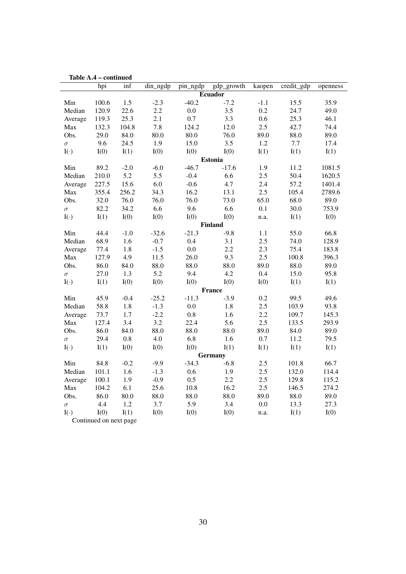|            | hpi                    | inf     | din_ngdp | pin_ngdp | gdp_growth     | kaopen  | $\overline{\text{credit\_gdp}}$ | openness |
|------------|------------------------|---------|----------|----------|----------------|---------|---------------------------------|----------|
|            |                        |         |          |          | <b>Ecuador</b> |         |                                 |          |
| Min        | 100.6                  | 1.5     | $-2.3$   | $-40.2$  | $-7.2$         | $-1.1$  | 15.5                            | 35.9     |
| Median     | 120.9                  | 22.6    | 2.2      | 0.0      | 3.5            | 0.2     | 24.7                            | 49.0     |
| Average    | 119.3                  | 25.3    | 2.1      | 0.7      | 3.3            | 0.6     | 25.3                            | 46.1     |
| Max        | 132.3                  | 104.8   | 7.8      | 124.2    | 12.0           | 2.5     | 42.7                            | 74.4     |
| Obs.       | 29.0                   | 84.0    | 80.0     | 80.0     | 76.0           | 89.0    | 88.0                            | 89.0     |
| $\sigma$   | 9.6                    | 24.5    | 1.9      | 15.0     | 3.5            | 1.2     | 7.7                             | 17.4     |
| $I(\cdot)$ | I(0)                   | I(1)    | I(0)     | I(0)     | I(0)           | I(1)    | I(1)                            | I(1)     |
|            |                        |         |          |          | <b>Estonia</b> |         |                                 |          |
| Min        | 89.2                   | $-2.0$  | $-6.0$   | $-46.7$  | $-17.6$        | 1.9     | 11.2                            | 1081.5   |
| Median     | 210.0                  | 5.2     | 5.5      | $-0.4$   | 6.6            | 2.5     | 50.4                            | 1620.5   |
| Average    | 227.5                  | 15.6    | 6.0      | $-0.6$   | 4.7            | 2.4     | 57.2                            | 1401.4   |
| Max        | 355.4                  | 256.2   | 34.3     | 16.2     | 13.1           | 2.5     | 105.4                           | 2789.6   |
| Obs.       | 32.0                   | 76.0    | 76.0     | 76.0     | 73.0           | 65.0    | 68.0                            | 89.0     |
| $\sigma$   | 82.2                   | 34.2    | 6.6      | 9.6      | 6.6            | 0.1     | 30.0                            | 753.9    |
| $I(\cdot)$ | I(1)                   | I(0)    | I(0)     | I(0)     | I(0)           | n.a.    | I(1)                            | I(0)     |
|            |                        |         |          |          | <b>Finland</b> |         |                                 |          |
| Min        | 44.4                   | $-1.0$  | $-32.6$  | $-21.3$  | $-9.8$         | 1.1     | 55.0                            | 66.8     |
| Median     | 68.9                   | 1.6     | $-0.7$   | 0.4      | 3.1            | 2.5     | 74.0                            | 128.9    |
| Average    | 77.4                   | 1.8     | $-1.5$   | 0.0      | 2.2            | 2.3     | 75.4                            | 183.8    |
| Max        | 127.9                  | 4.9     | 11.5     | 26.0     | 9.3            | 2.5     | 100.8                           | 396.3    |
| Obs.       | 86.0                   | 84.0    | 88.0     | 88.0     | 88.0           | 89.0    | 88.0                            | 89.0     |
| $\sigma$   | 27.0                   | 1.3     | 5.2      | 9.4      | 4.2            | 0.4     | 15.0                            | 95.8     |
| $I(\cdot)$ | I(1)                   | I(0)    | I(0)     | I(0)     | I(0)           | I(0)    | I(1)                            | I(1)     |
|            |                        |         |          |          | France         |         |                                 |          |
| Min        | 45.9                   | $-0.4$  | $-25.2$  | $-11.3$  | $-3.9$         | 0.2     | 99.5                            | 49.6     |
| Median     | 58.8                   | 1.8     | $-1.3$   | 0.0      | 1.8            | 2.5     | 103.9                           | 93.8     |
| Average    | 73.7                   | 1.7     | $-2.2$   | 0.8      | 1.6            | 2.2     | 109.7                           | 145.3    |
| Max        | 127.4                  | 3.4     | 3.2      | 22.4     | 5.6            | 2.5     | 133.5                           | 293.9    |
| Obs.       | 86.0                   | 84.0    | 88.0     | 88.0     | 88.0           | 89.0    | 84.0                            | 89.0     |
| $\sigma$   | 29.4                   | $0.8\,$ | 4.0      | 6.8      | 1.6            | 0.7     | 11.2                            | 79.5     |
| $I(\cdot)$ | I(1)                   | I(0)    | I(0)     | I(0)     | I(1)           | I(1)    | I(1)                            | I(1)     |
|            |                        |         |          |          | <b>Germany</b> |         |                                 |          |
| Min        | 84.8                   | $-0.2$  | $-9.9$   | $-34.3$  | $-6.8$         | 2.5     | 101.8                           | 66.7     |
| Median     | 101.1                  | 1.6     | $-1.3$   | 0.6      | 1.9            | 2.5     | 132.0                           | 114.4    |
| Average    | 100.1                  | 1.9     | $-0.9$   | 0.5      | 2.2            | 2.5     | 129.8                           | 115.2    |
| Max        | 104.2                  | 6.1     | 25.6     | 10.8     | 16.2           | 2.5     | 146.5                           | 274.2    |
| Obs.       | 86.0                   | 80.0    | 88.0     | 88.0     | 88.0           | 89.0    | 88.0                            | 89.0     |
| $\sigma$   | 4.4                    | 1.2     | 3.7      | 5.9      | 3.4            | $0.0\,$ | 13.3                            | 27.3     |
| $I(\cdot)$ | I(0)                   | I(1)    | I(0)     | I(0)     | I(0)           | n.a.    | I(1)                            | I(0)     |
|            | Continued on next page |         |          |          |                |         |                                 |          |

|  |  | Table A.4 – continued |  |
|--|--|-----------------------|--|
|--|--|-----------------------|--|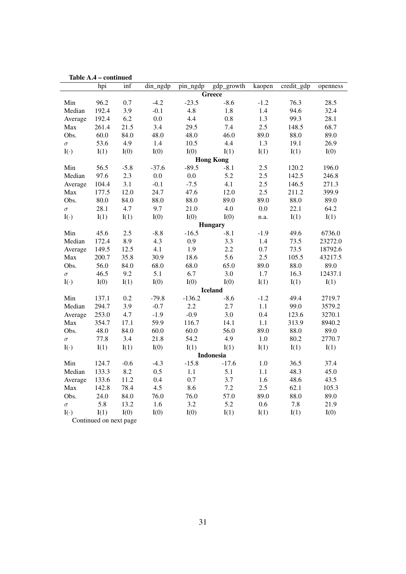|            | Table A.4 – continued  |        |             |          |                  |        |                                 |          |
|------------|------------------------|--------|-------------|----------|------------------|--------|---------------------------------|----------|
|            | hpi                    | inf    | $din_n$ gdp | pin_ngdp | gdp_growth       | kaopen | $\overline{\text{credit\_gdp}}$ | openness |
|            |                        |        |             |          | Greece           |        |                                 |          |
| Min        | 96.2                   | 0.7    | $-4.2$      | $-23.5$  | $-8.6$           | $-1.2$ | 76.3                            | 28.5     |
| Median     | 192.4                  | 3.9    | $-0.1$      | 4.8      | 1.8              | 1.4    | 94.6                            | 32.4     |
| Average    | 192.4                  | 6.2    | 0.0         | 4.4      | 0.8              | 1.3    | 99.3                            | 28.1     |
| Max        | 261.4                  | 21.5   | 3.4         | 29.5     | 7.4              | 2.5    | 148.5                           | 68.7     |
| Obs.       | 60.0                   | 84.0   | 48.0        | 48.0     | 46.0             | 89.0   | 88.0                            | 89.0     |
| $\sigma$   | 53.6                   | 4.9    | 1.4         | 10.5     | 4.4              | 1.3    | 19.1                            | 26.9     |
| $I(\cdot)$ | I(1)                   | I(0)   | I(0)        | I(0)     | I(1)             | I(1)   | I(1)                            | I(0)     |
|            |                        |        |             |          | <b>Hong Kong</b> |        |                                 |          |
| Min        | 56.5                   | $-5.8$ | $-37.6$     | $-89.5$  | $-8.1$           | 2.5    | 120.2                           | 196.0    |
| Median     | 97.6                   | 2.3    | 0.0         | 0.0      | 5.2              | 2.5    | 142.5                           | 246.8    |
| Average    | 104.4                  | 3.1    | $-0.1$      | $-7.5$   | 4.1              | 2.5    | 146.5                           | 271.3    |
| Max        | 177.5                  | 12.0   | 24.7        | 47.6     | 12.0             | 2.5    | 211.2                           | 399.9    |
| Obs.       | 80.0                   | 84.0   | 88.0        | 88.0     | 89.0             | 89.0   | 88.0                            | 89.0     |
| $\sigma$   | 28.1                   | 4.7    | 9.7         | 21.0     | 4.0              | 0.0    | 22.1                            | 64.2     |
| $I(\cdot)$ | I(1)                   | I(1)   | I(0)        | I(0)     | I(0)             | n.a.   | I(1)                            | I(1)     |
|            |                        |        |             |          | Hungary          |        |                                 |          |
| Min        | 45.6                   | 2.5    | $-8.8$      | $-16.5$  | $-8.1$           | $-1.9$ | 49.6                            | 6736.0   |
| Median     | 172.4                  | 8.9    | 4.3         | 0.9      | 3.3              | 1.4    | 73.5                            | 23272.0  |
| Average    | 149.5                  | 12.5   | 4.1         | 1.9      | 2.2              | 0.7    | 73.5                            | 18792.6  |
| Max        | 200.7                  | 35.8   | 30.9        | 18.6     | 5.6              | 2.5    | 105.5                           | 43217.5  |
| Obs.       | 56.0                   | 84.0   | 68.0        | 68.0     | 65.0             | 89.0   | 88.0                            | 89.0     |
| $\sigma$   | 46.5                   | 9.2    | 5.1         | 6.7      | 3.0              | 1.7    | 16.3                            | 12437.1  |
| $I(\cdot)$ | I(0)                   | I(1)   | I(0)        | I(0)     | I(0)             | I(1)   | I(1)                            | I(1)     |
|            |                        |        |             |          | <b>Iceland</b>   |        |                                 |          |
| Min        | 137.1                  | 0.2    | $-79.8$     | $-136.2$ | $-8.6$           | $-1.2$ | 49.4                            | 2719.7   |
| Median     | 294.7                  | 3.9    | $-0.7$      | 2.2      | 2.7              | 1.1    | 99.0                            | 3579.2   |
| Average    | 253.0                  | 4.7    | $-1.9$      | $-0.9$   | 3.0              | 0.4    | 123.6                           | 3270.1   |
| Max        | 354.7                  | 17.1   | 59.9        | 116.7    | 14.1             | 1.1    | 313.9                           | 8940.2   |
| Obs.       | 48.0                   | 84.0   | 60.0        | 60.0     | 56.0             | 89.0   | 88.0                            | 89.0     |
| $\sigma$   | 77.8                   | 3.4    | 21.8        | 54.2     | 4.9              | 1.0    | 80.2                            | 2770.7   |
| $I(\cdot)$ | I(1)                   | I(1)   | I(0)        | I(1)     | I(1)             | I(1)   | I(1)                            | I(1)     |
|            |                        |        |             |          | Indonesia        |        |                                 |          |
| Min        | 124.7                  | $-0.6$ | $-4.3$      | $-15.8$  | $-17.6$          | 1.0    | 36.5                            | 37.4     |
| Median     | 133.3                  | 8.2    | 0.5         | 1.1      | 5.1              | 1.1    | 48.3                            | 45.0     |
| Average    | 133.6                  | 11.2   | 0.4         | 0.7      | 3.7              | 1.6    | 48.6                            | 43.5     |
| Max        | 142.8                  | 78.4   | 4.5         | 8.6      | 7.2              | 2.5    | 62.1                            | 105.3    |
| Obs.       | 24.0                   | 84.0   | 76.0        | 76.0     | 57.0             | 89.0   | 88.0                            | 89.0     |
| $\sigma$   | 5.8                    | 13.2   | 1.6         | 3.2      | 5.2              | 0.6    | 7.8                             | 21.9     |
| $I(\cdot)$ | I(1)                   | I(0)   | I(0)        | I(0)     | I(1)             | I(1)   | I(1)                            | I(0)     |
|            | Continued on next page |        |             |          |                  |        |                                 |          |

Table A.4 – continued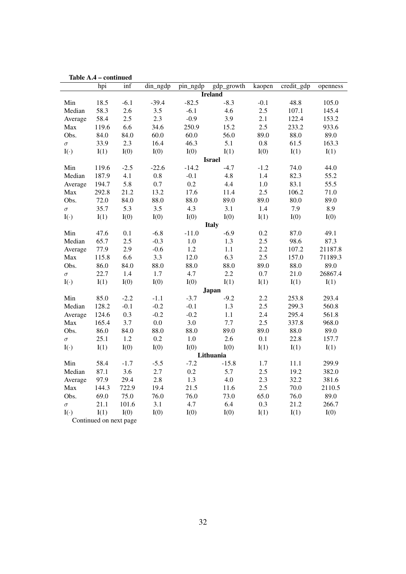| ташс А.Ч   |                        | - сопиниси |          |          |                |         |                                 |          |
|------------|------------------------|------------|----------|----------|----------------|---------|---------------------------------|----------|
|            | hpi                    | inf        | din_ngdp | pin_ngdp | gdp_growth     | kaopen  | $\overline{\text{credit\_gdp}}$ | openness |
|            |                        |            |          |          | <b>Ireland</b> |         |                                 |          |
| Min        | 18.5                   | $-6.1$     | $-39.4$  | $-82.5$  | $-8.3$         | $-0.1$  | 48.8                            | 105.0    |
| Median     | 58.3                   | 2.6        | 3.5      | $-6.1$   | 4.6            | 2.5     | 107.1                           | 145.4    |
| Average    | 58.4                   | 2.5        | 2.3      | $-0.9$   | 3.9            | 2.1     | 122.4                           | 153.2    |
| Max        | 119.6                  | 6.6        | 34.6     | 250.9    | 15.2           | 2.5     | 233.2                           | 933.6    |
| Obs.       | 84.0                   | 84.0       | 60.0     | 60.0     | 56.0           | 89.0    | 88.0                            | 89.0     |
| $\sigma$   | 33.9                   | 2.3        | 16.4     | 46.3     | 5.1            | $0.8\,$ | 61.5                            | 163.3    |
| $I(\cdot)$ | I(1)                   | I(0)       | I(0)     | I(0)     | I(1)           | I(0)    | I(1)                            | I(1)     |
|            |                        |            |          |          | <b>Israel</b>  |         |                                 |          |
| Min        | 119.6                  | $-2.5$     | $-22.6$  | $-14.2$  | $-4.7$         | $-1.2$  | 74.0                            | 44.0     |
| Median     | 187.9                  | 4.1        | $0.8\,$  | $-0.1$   | 4.8            | 1.4     | 82.3                            | 55.2     |
| Average    | 194.7                  | 5.8        | 0.7      | 0.2      | 4.4            | 1.0     | 83.1                            | 55.5     |
| Max        | 292.8                  | 21.2       | 13.2     | 17.6     | 11.4           | 2.5     | 106.2                           | 71.0     |
| Obs.       | 72.0                   | 84.0       | 88.0     | 88.0     | 89.0           | 89.0    | 80.0                            | 89.0     |
| $\sigma$   | 35.7                   | 5.3        | 3.5      | 4.3      | 3.1            | 1.4     | 7.9                             | 8.9      |
| $I(\cdot)$ | I(1)                   | I(0)       | I(0)     | I(0)     | I(0)           | I(1)    | I(0)                            | I(0)     |
|            |                        |            |          |          | <b>Italy</b>   |         |                                 |          |
| Min        | 47.6                   | 0.1        | $-6.8$   | $-11.0$  | $-6.9$         | 0.2     | 87.0                            | 49.1     |
| Median     | 65.7                   | 2.5        | $-0.3$   | 1.0      | 1.3            | 2.5     | 98.6                            | 87.3     |
| Average    | 77.9                   | 2.9        | $-0.6$   | $1.2\,$  | 1.1            | 2.2     | 107.2                           | 21187.8  |
| Max        | 115.8                  | 6.6        | 3.3      | 12.0     | 6.3            | 2.5     | 157.0                           | 71189.3  |
| Obs.       | 86.0                   | 84.0       | 88.0     | 88.0     | 88.0           | 89.0    | 88.0                            | 89.0     |
| $\sigma$   | 22.7                   | 1.4        | 1.7      | 4.7      | 2.2            | $0.7\,$ | 21.0                            | 26867.4  |
| $I(\cdot)$ | I(1)                   | I(0)       | I(0)     | I(0)     | I(1)           | I(1)    | I(1)                            | I(1)     |
|            |                        |            |          |          | <b>Japan</b>   |         |                                 |          |
| Min        | 85.0                   | $-2.2$     | $-1.1$   | $-3.7$   | $-9.2$         | 2.2     | 253.8                           | 293.4    |
| Median     | 128.2                  | $-0.1$     | $-0.2$   | $-0.1$   | 1.3            | $2.5\,$ | 299.3                           | 560.8    |
| Average    | 124.6                  | 0.3        | $-0.2$   | $-0.2$   | 1.1            | 2.4     | 295.4                           | 561.8    |
| Max        | 165.4                  | 3.7        | $0.0\,$  | 3.0      | 7.7            | 2.5     | 337.8                           | 968.0    |
| Obs.       | 86.0                   | 84.0       | 88.0     | 88.0     | 89.0           | 89.0    | 88.0                            | 89.0     |
| $\sigma$   | 25.1                   | $1.2\,$    | 0.2      | $1.0\,$  | 2.6            | 0.1     | 22.8                            | 157.7    |
| $I(\cdot)$ | I(1)                   | I(0)       | I(0)     | I(0)     | I(0)           | I(1)    | I(1)                            | I(1)     |
|            |                        |            |          |          | Lithuania      |         |                                 |          |
| Min        | 58.4                   | $-1.7$     | $-5.5$   | $-7.2$   | $-15.8$        | 1.7     | 11.1                            | 299.9    |
| Median     | 87.1                   | 3.6        | 2.7      | 0.2      | 5.7            | 2.5     | 19.2                            | 382.0    |
| Average    | 97.9                   | 29.4       | $2.8\,$  | 1.3      | 4.0            | 2.3     | 32.2                            | 381.6    |
| Max        | 144.3                  | 722.9      | 19.4     | 21.5     | 11.6           | 2.5     | 70.0                            | 2110.5   |
| Obs.       | 69.0                   | 75.0       | 76.0     | 76.0     | 73.0           | 65.0    | 76.0                            | 89.0     |
| $\sigma$   | 21.1                   | 101.6      | 3.1      | 4.7      | 6.4            | 0.3     | 21.2                            | 266.7    |
| $I(\cdot)$ | I(1)                   | I(0)       | I(0)     | I(0)     | I(0)           | I(1)    | I(1)                            | I(0)     |
|            | Continued on next page |            |          |          |                |         |                                 |          |
|            |                        |            |          |          |                |         |                                 |          |

Table A.4 – continued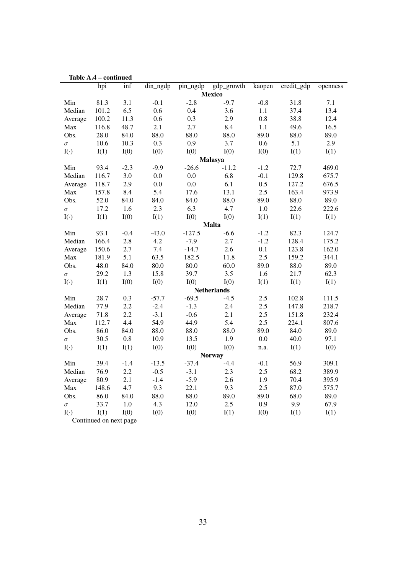| ташс А.Т   |                        | - сопиниси |                      |          |                    |         |            |          |
|------------|------------------------|------------|----------------------|----------|--------------------|---------|------------|----------|
|            | hpi                    | inf        | $\dim_{\text{mgdp}}$ | pin_ngdp | gdp_growth         | kaopen  | credit_gdp | openness |
|            |                        |            |                      |          | <b>Mexico</b>      |         |            |          |
| Min        | 81.3                   | 3.1        | $-0.1$               | $-2.8$   | $-9.7$             | $-0.8$  | 31.8       | 7.1      |
| Median     | 101.2                  | 6.5        | 0.6                  | 0.4      | 3.6                | 1.1     | 37.4       | 13.4     |
| Average    | 100.2                  | 11.3       | 0.6                  | 0.3      | 2.9                | 0.8     | 38.8       | 12.4     |
| Max        | 116.8                  | 48.7       | 2.1                  | 2.7      | 8.4                | 1.1     | 49.6       | 16.5     |
| Obs.       | 28.0                   | 84.0       | 88.0                 | 88.0     | 88.0               | 89.0    | 88.0       | 89.0     |
| $\sigma$   | 10.6                   | 10.3       | 0.3                  | 0.9      | 3.7                | 0.6     | 5.1        | 2.9      |
| $I(\cdot)$ | I(1)                   | I(0)       | I(0)                 | I(0)     | I(0)               | I(0)    | I(1)       | I(1)     |
|            |                        |            |                      |          | Malasya            |         |            |          |
| Min        | 93.4                   | $-2.3$     | $-9.9$               | $-26.6$  | $-11.2$            | $-1.2$  | 72.7       | 469.0    |
| Median     | 116.7                  | 3.0        | 0.0                  | $0.0\,$  | 6.8                | $-0.1$  | 129.8      | 675.7    |
| Average    | 118.7                  | 2.9        | 0.0                  | 0.0      | 6.1                | $0.5\,$ | 127.2      | 676.5    |
| Max        | 157.8                  | 8.4        | 5.4                  | 17.6     | 13.1               | 2.5     | 163.4      | 973.9    |
| Obs.       | 52.0                   | 84.0       | 84.0                 | 84.0     | 88.0               | 89.0    | 88.0       | 89.0     |
| $\sigma$   | 17.2                   | 1.6        | 2.3                  | 6.3      | 4.7                | $1.0\,$ | 22.6       | 222.6    |
| $I(\cdot)$ | I(1)                   | I(0)       | I(1)                 | I(0)     | I(0)               | I(1)    | I(1)       | I(1)     |
|            |                        |            |                      |          | <b>Malta</b>       |         |            |          |
| Min        | 93.1                   | $-0.4$     | $-43.0$              | $-127.5$ | $-6.6$             | $-1.2$  | 82.3       | 124.7    |
| Median     | 166.4                  | 2.8        | 4.2                  | $-7.9$   | 2.7                | $-1.2$  | 128.4      | 175.2    |
| Average    | 150.6                  | 2.7        | 7.4                  | $-14.7$  | 2.6                | 0.1     | 123.8      | 162.0    |
| Max        | 181.9                  | 5.1        | 63.5                 | 182.5    | 11.8               | 2.5     | 159.2      | 344.1    |
| Obs.       | 48.0                   | 84.0       | 80.0                 | 80.0     | 60.0               | 89.0    | 88.0       | 89.0     |
| $\sigma$   | 29.2                   | 1.3        | 15.8                 | 39.7     | 3.5                | 1.6     | 21.7       | 62.3     |
| $I(\cdot)$ | I(1)                   | I(0)       | I(0)                 | I(0)     | I(0)               | I(1)    | I(1)       | I(1)     |
|            |                        |            |                      |          | <b>Netherlands</b> |         |            |          |
| Min        | 28.7                   | 0.3        | $-57.7$              | $-69.5$  | $-4.5$             | 2.5     | 102.8      | 111.5    |
| Median     | 77.9                   | 2.2        | $-2.4$               | $-1.3$   | 2.4                | $2.5\,$ | 147.8      | 218.7    |
| Average    | 71.8                   | 2.2        | $-3.1$               | $-0.6$   | 2.1                | 2.5     | 151.8      | 232.4    |
| Max        | 112.7                  | 4.4        | 54.9                 | 44.9     | 5.4                | 2.5     | 224.1      | 807.6    |
| Obs.       | 86.0                   | 84.0       | 88.0                 | 88.0     | 88.0               | 89.0    | 84.0       | 89.0     |
| $\sigma$   | 30.5                   | $0.8\,$    | 10.9                 | 13.5     | 1.9                | $0.0\,$ | 40.0       | 97.1     |
| $I(\cdot)$ | I(1)                   | I(1)       | I(0)                 | I(0)     | I(0)               | n.a.    | I(1)       | I(0)     |
|            |                        |            |                      |          | <b>Norway</b>      |         |            |          |
| Min        | 39.4                   | $-1.4$     | $-13.5$              | $-37.4$  | $-4.4$             | $-0.1$  | 56.9       | 309.1    |
| Median     | 76.9                   | 2.2        | $-0.5$               | $-3.1$   | 2.3                | 2.5     | 68.2       | 389.9    |
| Average    | 80.9                   | 2.1        | $-1.4$               | $-5.9$   | 2.6                | 1.9     | 70.4       | 395.9    |
| Max        | 148.6                  | 4.7        | 9.3                  | 22.1     | 9.3                | 2.5     | 87.0       | 575.7    |
| Obs.       | 86.0                   | 84.0       | 88.0                 | 88.0     | 89.0               | 89.0    | 68.0       | 89.0     |
| $\sigma$   | 33.7                   | $1.0\,$    | 4.3                  | 12.0     | 2.5                | 0.9     | 9.9        | 67.9     |
| $I(\cdot)$ | I(1)                   | I(0)       | I(0)                 | I(0)     | I(1)               | I(0)    | I(1)       | I(1)     |
|            | Continued on next page |            |                      |          |                    |         |            |          |

Table A.4 – continued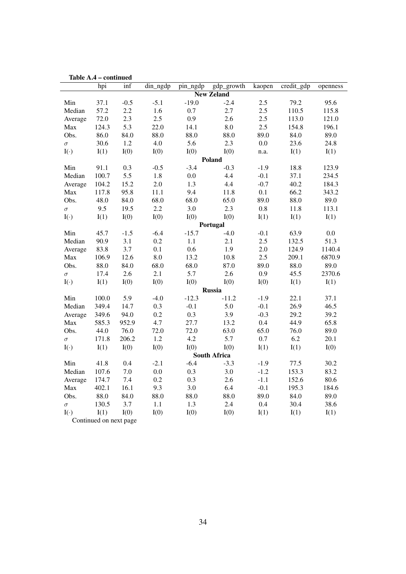|            | Table A.4 – continued  |         |                       |          |                     |         |                                 |          |
|------------|------------------------|---------|-----------------------|----------|---------------------|---------|---------------------------------|----------|
|            | hpi                    | inf     | $din_ng\overline{dp}$ | pin_ngdp | $gdp\_growth$       | kaopen  | $\overline{\text{credit\_gdp}}$ | openness |
|            |                        |         |                       |          | <b>New Zeland</b>   |         |                                 |          |
| Min        | 37.1                   | $-0.5$  | $-5.1$                | $-19.0$  | $-2.4$              | 2.5     | 79.2                            | 95.6     |
| Median     | 57.2                   | $2.2\,$ | 1.6                   | 0.7      | 2.7                 | 2.5     | 110.5                           | 115.8    |
| Average    | 72.0                   | 2.3     | 2.5                   | 0.9      | 2.6                 | 2.5     | 113.0                           | 121.0    |
| Max        | 124.3                  | 5.3     | 22.0                  | 14.1     | $\rm 8.0$           | 2.5     | 154.8                           | 196.1    |
| Obs.       | 86.0                   | 84.0    | 88.0                  | 88.0     | 88.0                | 89.0    | 84.0                            | 89.0     |
| $\sigma$   | 30.6                   | 1.2     | 4.0                   | 5.6      | 2.3                 | $0.0\,$ | 23.6                            | 24.8     |
| $I(\cdot)$ | I(1)                   | I(0)    | I(0)                  | I(0)     | I(0)                | n.a.    | I(1)                            | I(1)     |
|            |                        |         |                       |          | Poland              |         |                                 |          |
| Min        | 91.1                   | 0.3     | $-0.5$                | $-3.4$   | $-0.3$              | $-1.9$  | 18.8                            | 123.9    |
| Median     | 100.7                  | 5.5     | 1.8                   | 0.0      | 4.4                 | $-0.1$  | 37.1                            | 234.5    |
| Average    | 104.2                  | 15.2    | 2.0                   | 1.3      | 4.4                 | $-0.7$  | 40.2                            | 184.3    |
| Max        | 117.8                  | 95.8    | 11.1                  | 9.4      | 11.8                | 0.1     | 66.2                            | 343.2    |
| Obs.       | 48.0                   | 84.0    | 68.0                  | 68.0     | 65.0                | 89.0    | 88.0                            | 89.0     |
| $\sigma$   | 9.5                    | 19.5    | 2.2                   | 3.0      | 2.3                 | 0.8     | 11.8                            | 113.1    |
| $I(\cdot)$ | I(1)                   | I(0)    | I(0)                  | I(0)     | I(0)                | I(1)    | I(1)                            | I(1)     |
|            |                        |         |                       |          | Portugal            |         |                                 |          |
| Min        | 45.7                   | $-1.5$  | $-6.4$                | $-15.7$  | $-4.0$              | $-0.1$  | 63.9                            | 0.0      |
| Median     | 90.9                   | 3.1     | 0.2                   | 1.1      | 2.1                 | 2.5     | 132.5                           | 51.3     |
| Average    | 83.8                   | 3.7     | 0.1                   | 0.6      | 1.9                 | 2.0     | 124.9                           | 1140.4   |
| Max        | 106.9                  | 12.6    | 8.0                   | 13.2     | 10.8                | 2.5     | 209.1                           | 6870.9   |
| Obs.       | 88.0                   | 84.0    | 68.0                  | 68.0     | 87.0                | 89.0    | 88.0                            | 89.0     |
| $\sigma$   | 17.4                   | 2.6     | 2.1                   | 5.7      | 2.6                 | 0.9     | 45.5                            | 2370.6   |
| $I(\cdot)$ | I(1)                   | I(0)    | I(0)                  | I(0)     | I(0)                | I(0)    | I(1)                            | I(1)     |
|            |                        |         |                       |          | <b>Russia</b>       |         |                                 |          |
| Min        | 100.0                  | 5.9     | $-4.0$                | $-12.3$  | $-11.2$             | $-1.9$  | 22.1                            | 37.1     |
| Median     | 349.4                  | 14.7    | 0.3                   | $-0.1$   | 5.0                 | $-0.1$  | 26.9                            | 46.5     |
| Average    | 349.6                  | 94.0    | 0.2                   | 0.3      | 3.9                 | $-0.3$  | 29.2                            | 39.2     |
| Max        | 585.3                  | 952.9   | 4.7                   | 27.7     | 13.2                | $0.4\,$ | 44.9                            | 65.8     |
| Obs.       | 44.0                   | 76.0    | 72.0                  | 72.0     | 63.0                | 65.0    | 76.0                            | 89.0     |
| $\sigma$   | 171.8                  | 206.2   | 1.2                   | 4.2      | 5.7                 | 0.7     | 6.2                             | 20.1     |
| $I(\cdot)$ | I(1)                   | I(0)    | I(0)                  | I(0)     | I(0)                | I(1)    | I(1)                            | I(0)     |
|            |                        |         |                       |          | <b>South Africa</b> |         |                                 |          |
| Min        | 41.8                   | 0.4     | $-2.1$                | $-6.4$   | $-3.3$              | $-1.9$  | 77.5                            | 30.2     |
| Median     | 107.6                  | 7.0     | 0.0                   | 0.3      | 3.0                 | $-1.2$  | 153.3                           | 83.2     |
| Average    | 174.7                  | 7.4     | 0.2                   | 0.3      | 2.6                 | $-1.1$  | 152.6                           | 80.6     |
| Max        | 402.1                  | 16.1    | 9.3                   | 3.0      | 6.4                 | $-0.1$  | 195.3                           | 184.6    |
| Obs.       | 88.0                   | 84.0    | 88.0                  | 88.0     | 88.0                | 89.0    | 84.0                            | 89.0     |
| $\sigma$   | 130.5                  | 3.7     | 1.1                   | 1.3      | 2.4                 | 0.4     | 30.4                            | 38.6     |
| $I(\cdot)$ | I(1)                   | I(0)    | I(0)                  | I(0)     | I(0)                | I(1)    | I(1)                            | I(1)     |
|            | Continued on next page |         |                       |          |                     |         |                                 |          |

Table A.4 – continued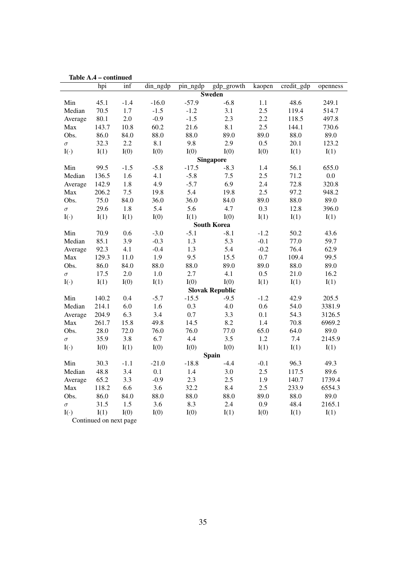|            | Table A.4 – continued  |        |             |          |                        |        |                                 |          |
|------------|------------------------|--------|-------------|----------|------------------------|--------|---------------------------------|----------|
|            | hpi                    | inf    | $din_n$ gdp | pin_ngdp | gdp_growth             | kaopen | $\overline{\text{credit\_gdp}}$ | openness |
|            |                        |        |             |          | <b>Sweden</b>          |        |                                 |          |
| Min        | 45.1                   | $-1.4$ | $-16.0$     | $-57.9$  | $-6.8$                 | 1.1    | 48.6                            | 249.1    |
| Median     | 70.5                   | 1.7    | $-1.5$      | $-1.2$   | 3.1                    | 2.5    | 119.4                           | 514.7    |
| Average    | 80.1                   | 2.0    | $-0.9$      | $-1.5$   | 2.3                    | 2.2    | 118.5                           | 497.8    |
| Max        | 143.7                  | 10.8   | 60.2        | 21.6     | 8.1                    | 2.5    | 144.1                           | 730.6    |
| Obs.       | 86.0                   | 84.0   | 88.0        | 88.0     | 89.0                   | 89.0   | 88.0                            | 89.0     |
| $\sigma$   | 32.3                   | 2.2    | 8.1         | 9.8      | 2.9                    | 0.5    | 20.1                            | 123.2    |
| $I(\cdot)$ | I(1)                   | I(0)   | I(0)        | I(0)     | I(0)                   | I(0)   | I(1)                            | I(1)     |
|            |                        |        |             |          | <b>Singapore</b>       |        |                                 |          |
| Min        | 99.5                   | $-1.5$ | $-5.8$      | $-17.5$  | $-8.3$                 | 1.4    | 56.1                            | 655.0    |
| Median     | 136.5                  | 1.6    | 4.1         | $-5.8$   | 7.5                    | 2.5    | 71.2                            | $0.0\,$  |
| Average    | 142.9                  | 1.8    | 4.9         | $-5.7$   | 6.9                    | 2.4    | 72.8                            | 320.8    |
| Max        | 206.2                  | $7.5$  | 19.8        | 5.4      | 19.8                   | 2.5    | 97.2                            | 948.2    |
| Obs.       | 75.0                   | 84.0   | 36.0        | 36.0     | 84.0                   | 89.0   | 88.0                            | 89.0     |
| $\sigma$   | 29.6                   | 1.8    | 5.4         | 5.6      | 4.7                    | 0.3    | 12.8                            | 396.0    |
| $I(\cdot)$ | I(1)                   | I(1)   | I(0)        | I(1)     | I(0)                   | I(1)   | I(1)                            | I(1)     |
|            |                        |        |             |          | <b>South Korea</b>     |        |                                 |          |
| Min        | 70.9                   | 0.6    | $-3.0$      | $-5.1$   | $-8.1$                 | $-1.2$ | 50.2                            | 43.6     |
| Median     | 85.1                   | 3.9    | $-0.3$      | 1.3      | 5.3                    | $-0.1$ | 77.0                            | 59.7     |
| Average    | 92.3                   | 4.1    | $-0.4$      | 1.3      | 5.4                    | $-0.2$ | 76.4                            | 62.9     |
| Max        | 129.3                  | 11.0   | 1.9         | 9.5      | 15.5                   | 0.7    | 109.4                           | 99.5     |
| Obs.       | 86.0                   | 84.0   | 88.0        | 88.0     | 89.0                   | 89.0   | 88.0                            | 89.0     |
| $\sigma$   | 17.5                   | 2.0    | 1.0         | 2.7      | 4.1                    | 0.5    | 21.0                            | 16.2     |
| $I(\cdot)$ | I(1)                   | I(0)   | I(1)        | I(0)     | I(0)                   | I(1)   | I(1)                            | I(1)     |
|            |                        |        |             |          | <b>Slovak Republic</b> |        |                                 |          |
| Min        | 140.2                  | 0.4    | $-5.7$      | $-15.5$  | $-9.5$                 | $-1.2$ | 42.9                            | 205.5    |
| Median     | 214.1                  | 6.0    | 1.6         | 0.3      | 4.0                    | 0.6    | 54.0                            | 3381.9   |
| Average    | 204.9                  | 6.3    | 3.4         | $0.7\,$  | 3.3                    | 0.1    | 54.3                            | 3126.5   |
| Max        | 261.7                  | 15.8   | 49.8        | 14.5     | 8.2                    | 1.4    | 70.8                            | 6969.2   |
| Obs.       | 28.0                   | 72.0   | 76.0        | 76.0     | 77.0                   | 65.0   | 64.0                            | 89.0     |
| $\sigma$   | 35.9                   | 3.8    | 6.7         | 4.4      | 3.5                    | 1.2    | 7.4                             | 2145.9   |
| $I(\cdot)$ | I(0)                   | I(1)   | I(0)        | I(0)     | I(0)                   | I(1)   | I(1)                            | I(1)     |
|            |                        |        |             |          | <b>Spain</b>           |        |                                 |          |
| Min        | 30.3                   | $-1.1$ | $-21.0$     | $-18.8$  | $-4.4$                 | $-0.1$ | 96.3                            | 49.3     |
| Median     | 48.8                   | 3.4    | 0.1         | 1.4      | 3.0                    | 2.5    | 117.5                           | 89.6     |
| Average    | 65.2                   | 3.3    | $-0.9$      | 2.3      | 2.5                    | 1.9    | 140.7                           | 1739.4   |
| Max        | 118.2                  | 6.6    | 3.6         | 32.2     | 8.4                    | 2.5    | 233.9                           | 6554.3   |
| Obs.       | 86.0                   | 84.0   | 88.0        | 88.0     | 88.0                   | 89.0   | 88.0                            | 89.0     |
| $\sigma$   | 31.5                   | 1.5    | 3.6         | 8.3      | 2.4                    | 0.9    | 48.4                            | 2165.1   |
| $I(\cdot)$ | I(1)                   | I(0)   | I(0)        | I(0)     | I(1)                   | I(0)   | I(1)                            | I(1)     |
|            | Continued on next page |        |             |          |                        |        |                                 |          |

Table A.4 – continued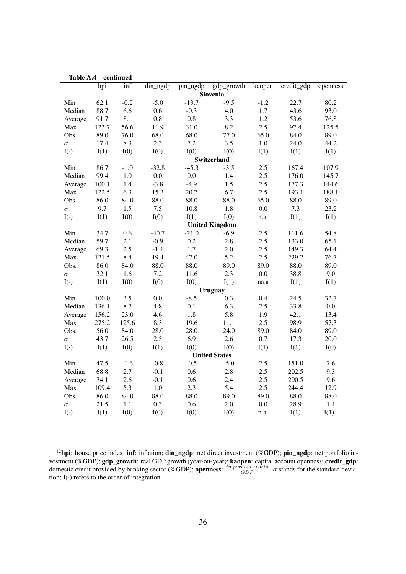|                     | hpi   | commuca<br>inf | din_ngdp | pin_ngdp | gdp_growth            | kaopen  | credit_gdp | openness |
|---------------------|-------|----------------|----------|----------|-----------------------|---------|------------|----------|
|                     |       |                |          |          | <b>Slovenia</b>       |         |            |          |
| Min                 | 62.1  | $-0.2$         | $-5.0$   | $-13.7$  | $-9.5$                | $-1.2$  | 22.7       | 80.2     |
| Median              | 88.7  | 6.6            | 0.6      | $-0.3$   | 4.0                   | 1.7     | 43.6       | 93.0     |
| Average             | 91.7  | 8.1            | 0.8      | $0.8\,$  | 3.3                   | 1.2     | 53.6       | 76.8     |
| Max                 | 123.7 | 56.6           | 11.9     | 31.0     | 8.2                   | 2.5     | 97.4       | 125.5    |
| Obs.                | 89.0  | 76.0           | 68.0     | 68.0     | 77.0                  | 65.0    | 84.0       | 89.0     |
| $\sigma$            | 17.4  | 8.3            | 2.3      | $7.2\,$  | 3.5                   | $1.0\,$ | 24.0       | 44.2     |
| $\mathrm{I}(\cdot)$ | I(1)  | I(0)           | I(0)     | I(0)     | I(0)                  | I(1)    | I(1)       | I(1)     |
|                     |       |                |          |          | Switzerland           |         |            |          |
| Min                 | 86.7  | $-1.0$         | $-32.8$  | $-45.3$  | $-3.5$                | 2.5     | 167.4      | 107.9    |
| Median              | 99.4  | $1.0\,$        | $0.0\,$  | $0.0\,$  | 1.4                   | 2.5     | 176.0      | 145.7    |
| Average             | 100.1 | $1.4\,$        | $-3.8$   | $-4.9$   | 1.5                   | 2.5     | 177.3      | 144.6    |
| Max                 | 122.5 | 6.3            | 15.3     | 20.7     | 6.7                   | 2.5     | 193.1      | 188.1    |
| Obs.                | 86.0  | 84.0           | 88.0     | 88.0     | 88.0                  | 65.0    | 88.0       | 89.0     |
| $\sigma$            | 9.7   | 1.5            | 7.5      | 10.8     | 1.8                   | $0.0\,$ | 7.3        | 23.2     |
| $I(\cdot)$          | I(1)  | I(0)           | I(0)     | I(1)     | I(0)                  | n.a.    | I(1)       | I(1)     |
|                     |       |                |          |          | <b>United Kingdom</b> |         |            |          |
| Min                 | 34.7  | 0.6            | $-40.7$  | $-21.0$  | $-6.9$                | 2.5     | 111.6      | 54.8     |
| Median              | 59.7  | 2.1            | $-0.9$   | 0.2      | 2.8                   | 2.5     | 133.0      | 65.1     |
| Average             | 69.3  | 2.5            | $-1.4$   | 1.7      | 2.0                   | 2.5     | 149.3      | 64.4     |
| Max                 | 121.5 | 8.4            | 19.4     | 47.0     | 5.2                   | 2.5     | 229.2      | 76.7     |
| Obs.                | 86.0  | 84.0           | 88.0     | 88.0     | 89.0                  | 89.0    | 88.0       | 89.0     |
| $\sigma$            | 32.1  | 1.6            | 7.2      | 11.6     | 2.3                   | $0.0\,$ | 38.8       | 9.0      |
| $I(\cdot)$          | I(1)  | I(0)           | I(0)     | I(0)     | I(1)                  | na.a    | I(1)       | I(1)     |
|                     |       |                |          |          | <b>Uruguay</b>        |         |            |          |
| Min                 | 100.0 | 3.5            | 0.0      | $-8.5$   | 0.3                   | 0.4     | 24.5       | 32.7     |
| Median              | 136.1 | 8.7            | 4.8      | 0.1      | 6.3                   | 2.5     | 33.8       | $0.0\,$  |
| Average             | 156.2 | 23.0           | 4.6      | 1.8      | 5.8                   | 1.9     | 42.1       | 13.4     |
| Max                 | 275.2 | 125.6          | 8.3      | 19.6     | 11.1                  | 2.5     | 98.9       | 57.3     |
| Obs.                | 56.0  | 84.0           | 28.0     | 28.0     | 24.0                  | 89.0    | 84.0       | 89.0     |
| $\sigma$            | 43.7  | 26.5           | 2.5      | 6.9      | 2.6                   | 0.7     | 17.3       | 20.0     |
| $I(\cdot)$          | I(1)  | I(0)           | I(1)     | I(0)     | I(0)                  | I(1)    | I(1)       | I(0)     |
|                     |       |                |          |          | <b>United States</b>  |         |            |          |
| Min                 | 47.5  | $-1.6$         | $-0.8$   | $-0.5$   | $-5.0$                | 2.5     | 151.0      | 7.6      |
| Median              | 68.8  | 2.7            | $-0.1$   | 0.6      | 2.8                   | 2.5     | 202.5      | 9.3      |
| Average             | 74.1  | 2.6            | $-0.1$   | 0.6      | 2.4                   | 2.5     | 200.5      | 9.6      |
| Max                 | 109.4 | 5.3            | $1.0\,$  | 2.3      | 5.4                   | 2.5     | 244.4      | 12.9     |
| Obs.                | 86.0  | 84.0           | 88.0     | 88.0     | 89.0                  | 89.0    | 88.0       | 88.0     |
| $\sigma$            | 21.5  | 1.1            | 0.3      | 0.6      | 2.0                   | $0.0\,$ | 28.9       | 1.4      |
| $I(\cdot)$          | I(1)  | I(0)           | I(0)     | I(0)     | I(0)                  | n.a.    | I(1)       | I(1)     |

Table A.4 – continued

<span id="page-35-0"></span><sup>&</sup>lt;sup>12</sup>hpi: house price index; inf: inflation; din\_ngdp: net direct investment (%GDP); pin\_ngdp: net portfolio investment (%GDP); gdp\_growth: real GDP growth (year-on-year); kaopen: capital account openness; credit\_gdp: domestic credit provided by banking sector (%GDP); **openness**:  $\frac{imports+exports}{GDP}$ .  $\sigma$  stands for the standard deviation;  $I(\cdot)$  refers to the order of integration.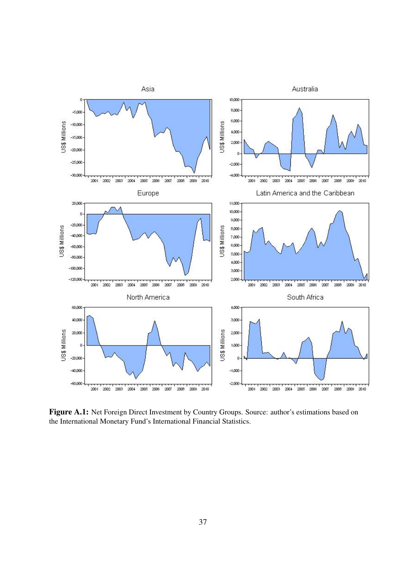<span id="page-36-0"></span>

Figure A.1: Net Foreign Direct Investment by Country Groups. Source: author's estimations based on the International Monetary Fund's International Financial Statistics.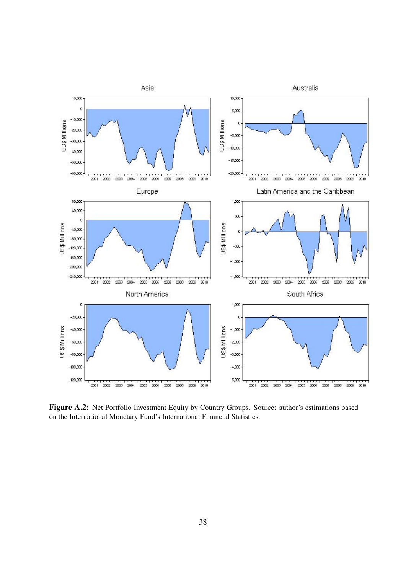<span id="page-37-0"></span>

Figure A.2: Net Portfolio Investment Equity by Country Groups. Source: author's estimations based on the International Monetary Fund's International Financial Statistics.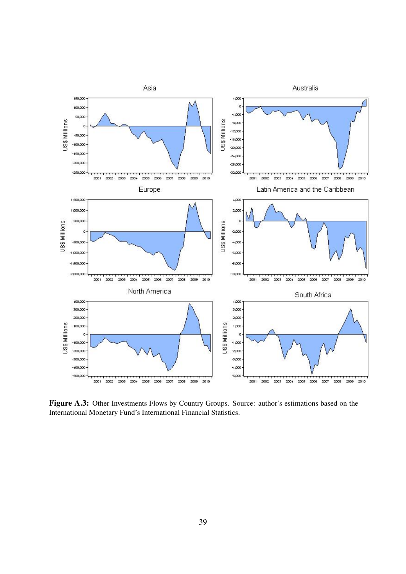<span id="page-38-0"></span>

Figure A.3: Other Investments Flows by Country Groups. Source: author's estimations based on the International Monetary Fund's International Financial Statistics.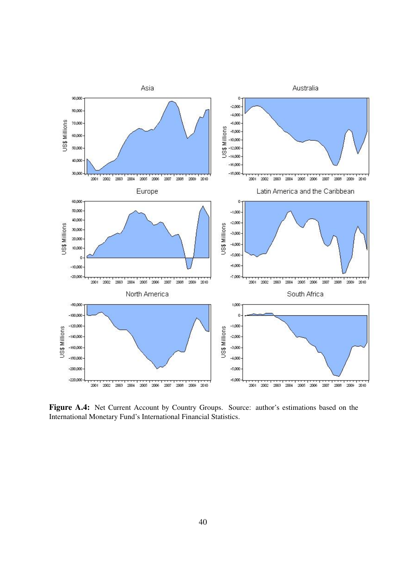<span id="page-39-0"></span>

Figure A.4: Net Current Account by Country Groups. Source: author's estimations based on the International Monetary Fund's International Financial Statistics.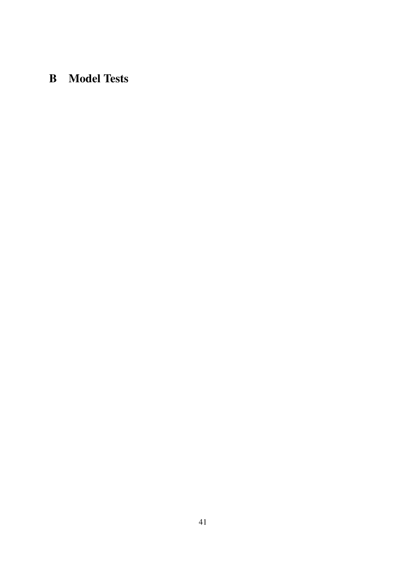## <span id="page-40-0"></span>B Model Tests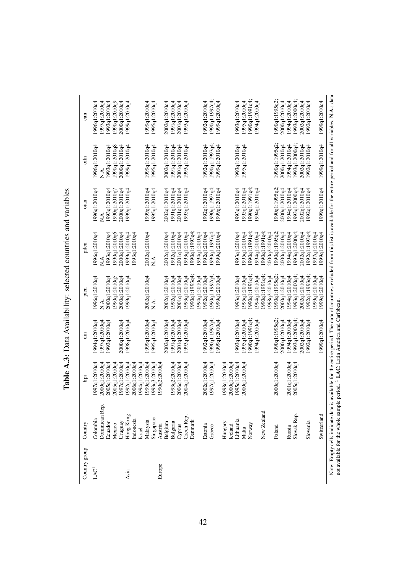| Country group    | Country                                                                                                                                                                                                                                                                            | Ξ                              | ੶ਜ਼                          | pien           | pilen          | $_{\text{man}}$ | $\frac{1}{2}$  | $\mathop{\mathrm{can}}$      |
|------------------|------------------------------------------------------------------------------------------------------------------------------------------------------------------------------------------------------------------------------------------------------------------------------------|--------------------------------|------------------------------|----------------|----------------|-----------------|----------------|------------------------------|
| LAC <sup>1</sup> | Colombia                                                                                                                                                                                                                                                                           | 1997q1:2010q4<br>2000q1:2010q4 | 994q1:2010q4                 | 1996q1:2010q4  | 1996q1:2010q4  | 1996q1:2010q4   | 1996q1:2010q4  | 1996q1:2010q4                |
|                  | Dominican Rep.<br>Ecuador                                                                                                                                                                                                                                                          | 2005q1:2010q4                  | 993q1:2010q4<br>997q1:2010q4 | 2000a1:2010a4  | 993q1:2010q4   | 1993q1:2010q4   | 1993q1:2010q4  | 993q1:2010q4<br>997q1:2010q4 |
|                  | Mexico                                                                                                                                                                                                                                                                             | 2005q1:2010q4                  |                              | 990q1:2010q5   | 990q1:2010q6   | 990q1:2010q     | 1990q1:2010q8  | 1990q1:2010q9                |
|                  | Uruguay                                                                                                                                                                                                                                                                            | 1997q1:2010q4                  | 20000q1:2010q4               | 2000q1:2010q4  | 2000q1:2010q4  | 2000q1:2010q4   | 2000q1:2010q4  | 2000q1:2010q4                |
| Asia             | Hong Kong                                                                                                                                                                                                                                                                          | 1992q1:2010q4                  | 1998q1:2010q4                | 1999q1:2010q4  | 1999q1:2010q4  | 1999q1:2010q4   | 1999q1:2010q4  | 1999q1:2010q4                |
|                  | Indonesia                                                                                                                                                                                                                                                                          | 2006q1:2010q4                  |                              |                | 993q1:2010q4   |                 |                |                              |
|                  | Israel                                                                                                                                                                                                                                                                             | 1994q1:2010q4                  |                              |                |                |                 |                |                              |
|                  | Malaysia                                                                                                                                                                                                                                                                           | 999q1:2010q4                   | 999q1:2010q4                 | 2002q1:2010q4  | 2002q1:2010q4  | 1999q1:2010q4   | 1999q1:2010q4  | 1999q1:2010q4                |
|                  | Singapore                                                                                                                                                                                                                                                                          | 1993q3:2010q4                  | 1995q1:2010q4                | ∑<br>Z         |                | 1995q1:2010q4   | 1995q1:2010q4  | 1995q1:2010q4                |
| Europe           | Austria                                                                                                                                                                                                                                                                            | 1990q2:2010q4                  |                              |                |                |                 |                |                              |
|                  | Belgium                                                                                                                                                                                                                                                                            |                                | 2002q1:2010q4                | 2002q1:2010q4  | 2002q1:2010q4  | 2002q1:2010q4   | 2002q1:2010q4  | 2002q1:2010q4                |
|                  | Bulgaria                                                                                                                                                                                                                                                                           | 1993q2:2010q4                  | 991q1:2010q4                 | 992q1:2010q4   | 1992q1:2010q4  | 1991q1:2010q4   | 1991q1:2010q4  | 1991q1:2010q4                |
|                  | Cyprus                                                                                                                                                                                                                                                                             | 2006q1:2010q4                  | 2001q1:2010q                 | 2001q1:2010q4  | 2001q1:2010q4  | 2001q1:2010q4   | 2001q1:2010q4  | 2001q1:2010q4                |
|                  | Czech Rep.                                                                                                                                                                                                                                                                         | 2004q1:2010q4                  | 1993q1:2010q4                | 1993q1:2010q4  | 993q1:2010q4   | 993q1:2010q4    | 1993q1:2010q4  | 1993q1:2010q4                |
|                  | Denmark                                                                                                                                                                                                                                                                            |                                |                              | 1990a1:1993c4  | 990a1:1993a4   |                 |                |                              |
|                  |                                                                                                                                                                                                                                                                                    |                                |                              | 1994q1:2010q4  | 994q1:2010q4   |                 |                |                              |
|                  | Estonia                                                                                                                                                                                                                                                                            | 2002q1:2010q4                  | 992q1:2010q4                 | 1992q1:2010q4  | 992q1:2010q4   | 992q1:2010q4    | 1992q1:2010q4  | 992q1:2010q4                 |
|                  | Greece                                                                                                                                                                                                                                                                             | 1997q1:2010q4                  | 990q1:1997q4                 | 1990q1:1997q4; | 990q1:1997q4;  | !990q1:1997q4;  | 1990q1:1997q4  | !990q1:1997q4                |
|                  |                                                                                                                                                                                                                                                                                    |                                | 1999q1:2010q4                | 1999q1:2010q4  | 999q1:2010q4   | 1999q1:2010q4   | 1999q1:2010q4  | 1999q1:2010q4                |
|                  | Hungary                                                                                                                                                                                                                                                                            | 1998q1:2010q4                  |                              |                |                |                 |                |                              |
|                  | lceland                                                                                                                                                                                                                                                                            | 2000q1:2010q4                  |                              |                |                |                 |                |                              |
|                  | Lithuania                                                                                                                                                                                                                                                                          | 1995q1:2010q4                  | .993q1:2010q4                | 1993q1:2010q4  | 1993q1:2010q4  | 1993q1:2010q4   | 1993q1:2010q4  | 993q1:2010q4                 |
|                  | Malta                                                                                                                                                                                                                                                                              | 2000q1:2010q4                  | 995q1:2010q4                 | 1995q1:2010q4  | 995q1:2010q4   | 995q1:2010q4    | 1995q1:2010q4  | 995q1:2010q4                 |
|                  | Norway                                                                                                                                                                                                                                                                             |                                | -990q1:1991q4                | 1990q1:1991q4  | 1990q1:1991q4  | 1990q1:1991q4   |                | 1990q1:1991q4                |
|                  |                                                                                                                                                                                                                                                                                    |                                | 1994q1:2010q4                | 1994q1:2010q4  | 994q1:2010q4   | 1994q1:2010q4   |                | 1994q1:2010q4                |
|                  | New Zealand                                                                                                                                                                                                                                                                        |                                |                              | 1990q1:1991q4  | !990q1:1991q4; |                 |                |                              |
|                  |                                                                                                                                                                                                                                                                                    |                                |                              | 1998q2:2010q4  | 2000q2:2010q4  |                 |                |                              |
|                  | Poland                                                                                                                                                                                                                                                                             | 2000q1:2010q4                  | 1990q1:1995q2                | 1990q1:1995q2  | 990q1:1995q2;  | .990q1:1995q2;  | 1990q1:1995q2; | 1990q1:1995q2;               |
|                  |                                                                                                                                                                                                                                                                                    |                                | 2000q1:2010q4                | 2000q1:2010q4  | 2000q1:2010q4  | 2000q1:2010q4   | 2000q1:2010q4  | 2000q1:2010q4                |
|                  | Russia                                                                                                                                                                                                                                                                             | 2001q1:2010q4                  | 994q1:2010q4                 | 1994q1:2010q4  | 994q1:2010q4   | 994q1:2010q4    | 1994q1:2010q4  | 1994q1:2010q4                |
|                  | Slovak Rep.                                                                                                                                                                                                                                                                        | 2005q1:2010q4                  | 993q1:2000q4                 | 1993q1:2000q4  | 993q1:2000q4   | 1993q1:2000q4   | 1993q1:2000q4  | 1993q1:2000q4:               |
|                  |                                                                                                                                                                                                                                                                                    |                                | 2002q1:2010q4                | 2002q1:2010q4  | 2002q1:2010q4  | 2002q1:2010q4   | 2002q1:2010q4  | 2002q1:2010q4                |
|                  | Slovenia                                                                                                                                                                                                                                                                           |                                | 1992q1:2010q4                | 1992q1:1993q4; | .992q1:1993q4; | 1992q1:2010q4   | 1992q1:2010q4  | 1992q1:2010q4                |
|                  |                                                                                                                                                                                                                                                                                    |                                |                              | 1999q1:2010q4  | .997q1:2010q4  |                 |                |                              |
|                  | Switzerland                                                                                                                                                                                                                                                                        |                                | 1999q1:2010q4                | 1999q1:2010q4  | 1999q1:2010q4  | 1999q1:2010q4   | 1999q1:2010q4  | 1999q1:2010q4                |
|                  | Note: Empty cells indicate data is available for the entire period. The data of countries excluded from this list is available for the entire period and for all variables. N.A.: data<br>not available for the whole sample period. <sup>1</sup> LAC: Latin America and Caribbean |                                |                              |                |                |                 |                |                              |
|                  |                                                                                                                                                                                                                                                                                    |                                |                              |                |                |                 |                |                              |

<span id="page-41-0"></span>Table A.3: Data Availability: selected countries and variables Table A.3: Data Availability: selected countries and variables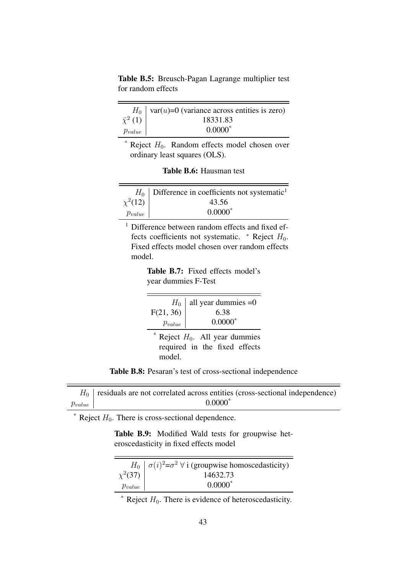<span id="page-42-0"></span>Table B.5: Breusch-Pagan Lagrange multiplier test for random effects

 $\overline{\phantom{0}}$ 

|                    | $H_0$   var( <i>u</i> )=0 (variance across entities is zero) |
|--------------------|--------------------------------------------------------------|
| $\bar{\chi}^2$ (1) | 18331.83                                                     |
| $p_{value}$        | $0.0000*$                                                    |

 $*$  Reject  $H_0$ . Random effects model chosen over ordinary least squares (OLS).

|  | <b>Table B.6:</b> Hausman test |  |
|--|--------------------------------|--|
|  |                                |  |

<span id="page-42-1"></span>

|              | $H_0$ Difference in coefficients not systematic <sup>1</sup> |
|--------------|--------------------------------------------------------------|
| $\chi^2(12)$ | 43.56                                                        |
| $p_{value}$  | $0.0000*$                                                    |

<span id="page-42-2"></span><sup>1</sup> Difference between random effects and fixed effects coefficients not systematic.  $*$  Reject  $H_0$ . Fixed effects model chosen over random effects model.

> Table B.7: Fixed effects model's year dummies F-Test

| $p_{value}$                                                                 | $H_0$ all year dummies = 0<br>F(21, 36) $\left  \begin{array}{c} H_0 \end{array} \right $ 6.38<br>$0.0000*$ |
|-----------------------------------------------------------------------------|-------------------------------------------------------------------------------------------------------------|
| * Reject $H_0$ . All year dummies<br>required in the fixed effects<br>model |                                                                                                             |

Table B.8: Pesaran's test of cross-sectional independence

<span id="page-42-3"></span>

|             | $H_0$ residuals are not correlated across entities (cross-sectional independence) |
|-------------|-----------------------------------------------------------------------------------|
| $p_{value}$ | $0.0000*$                                                                         |

<span id="page-42-4"></span>\* Reject  $H_0$ . There is cross-sectional dependence.

Table B.9: Modified Wald tests for groupwise heteroscedasticity in fixed effects model

|              | $H_0   \sigma(i)^2 = \sigma^2 \forall i$ (groupwise homoscedasticity) |
|--------------|-----------------------------------------------------------------------|
| $\chi^2(37)$ | 14632.73                                                              |
| $p_{value}$  | $0.0000*$                                                             |

 $*$  Reject  $H_0$ . There is evidence of heteroscedasticity.